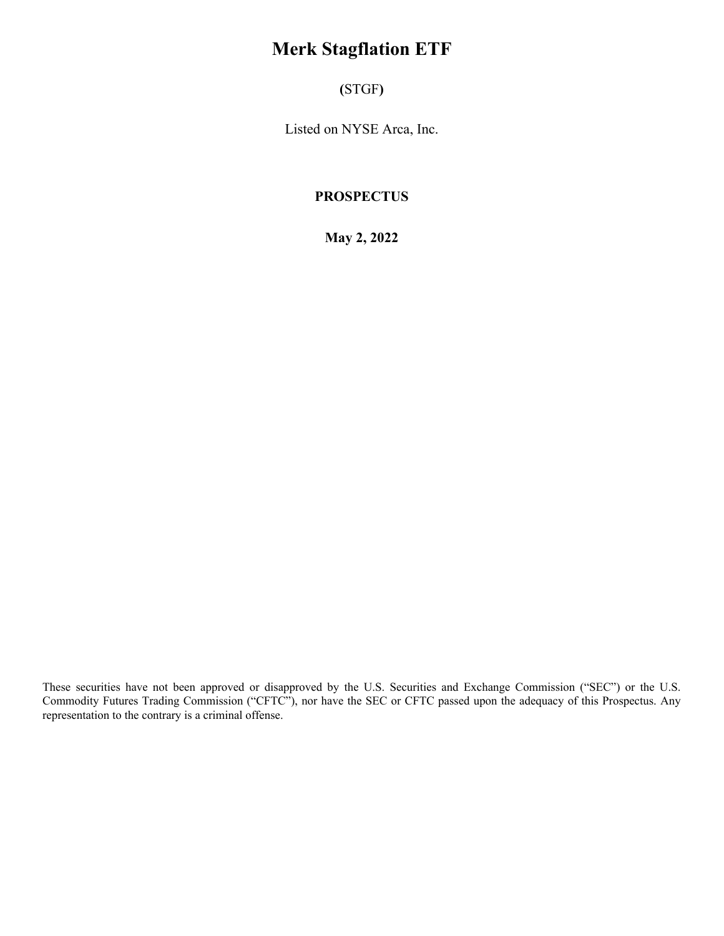# **Merk Stagflation ETF**

**(**STGF**)**

Listed on NYSE Arca, Inc.

## **PROSPECTUS**

**May 2, 2022**

These securities have not been approved or disapproved by the U.S. Securities and Exchange Commission ("SEC") or the U.S. Commodity Futures Trading Commission ("CFTC"), nor have the SEC or CFTC passed upon the adequacy of this Prospectus. Any representation to the contrary is a criminal offense.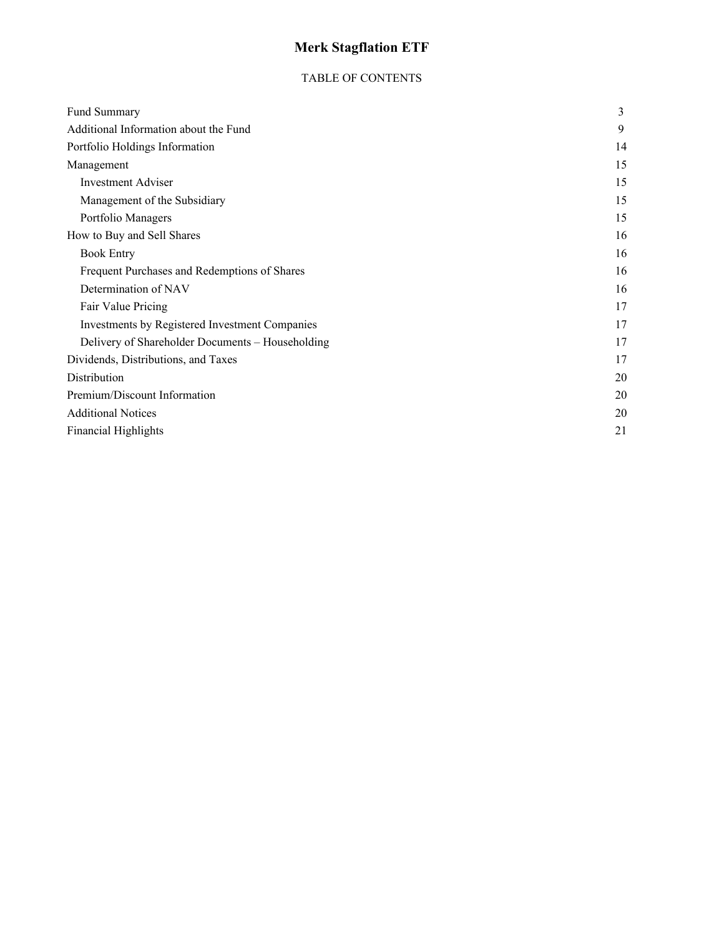# **Merk Stagflation ETF**

## TABLE OF CONTENTS

| Fund Summary                                     | 3  |
|--------------------------------------------------|----|
| Additional Information about the Fund            | 9  |
| Portfolio Holdings Information                   | 14 |
| Management                                       | 15 |
| <b>Investment Adviser</b>                        | 15 |
| Management of the Subsidiary                     | 15 |
| Portfolio Managers                               | 15 |
| How to Buy and Sell Shares                       | 16 |
| <b>Book Entry</b>                                | 16 |
| Frequent Purchases and Redemptions of Shares     | 16 |
| Determination of NAV                             | 16 |
| Fair Value Pricing                               | 17 |
| Investments by Registered Investment Companies   | 17 |
| Delivery of Shareholder Documents - Householding | 17 |
| Dividends, Distributions, and Taxes              | 17 |
| Distribution                                     | 20 |
| Premium/Discount Information                     | 20 |
| <b>Additional Notices</b>                        | 20 |
| <b>Financial Highlights</b>                      | 21 |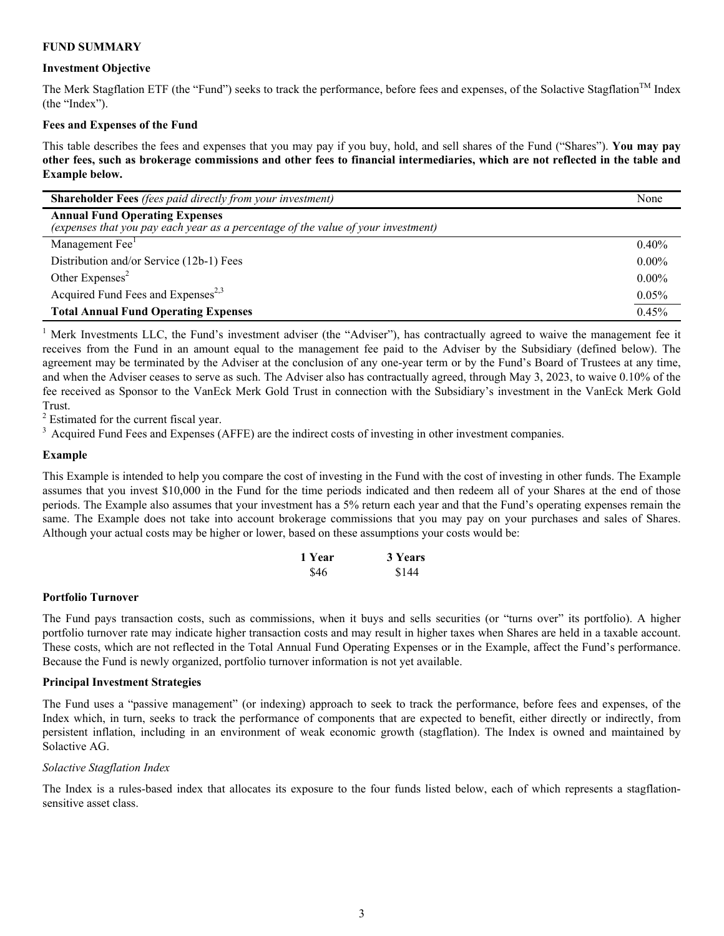#### **FUND SUMMARY**

#### **Investment Objective**

The Merk Stagflation ETF (the "Fund") seeks to track the performance, before fees and expenses, of the Solactive Stagflation™ Index (the "Index").

#### **Fees and Expenses of the Fund**

This table describes the fees and expenses that you may pay if you buy, hold, and sell shares of the Fund ("Shares"). **You may pay other fees, such as brokerage commissions and other fees to financial intermediaries, which are not reflected in the table and Example below.**

| <b>Shareholder Fees</b> (fees paid directly from your investment)                                                          | None     |
|----------------------------------------------------------------------------------------------------------------------------|----------|
| <b>Annual Fund Operating Expenses</b><br>(expenses that you pay each year as a percentage of the value of your investment) |          |
| Management Fee <sup>1</sup>                                                                                                | $0.40\%$ |
| Distribution and/or Service (12b-1) Fees                                                                                   | $0.00\%$ |
| Other Expenses <sup>2</sup>                                                                                                | $0.00\%$ |
| Acquired Fund Fees and Expenses <sup>2,3</sup>                                                                             | 0.05%    |
| <b>Total Annual Fund Operating Expenses</b>                                                                                | 0.45%    |

<sup>1</sup> Merk Investments LLC, the Fund's investment adviser (the "Adviser"), has contractually agreed to waive the management fee it receives from the Fund in an amount equal to the management fee paid to the Adviser by the Subsidiary (defined below). The agreement may be terminated by the Adviser at the conclusion of any one-year term or by the Fund's Board of Trustees at any time, and when the Adviser ceases to serve as such. The Adviser also has contractually agreed, through May 3, 2023, to waive 0.10% of the fee received as Sponsor to the VanEck Merk Gold Trust in connection with the Subsidiary's investment in the VanEck Merk Gold Trust.

<sup>2</sup> Estimated for the current fiscal year.

<sup>3</sup> Acquired Fund Fees and Expenses (AFFE) are the indirect costs of investing in other investment companies.

#### **Example**

This Example is intended to help you compare the cost of investing in the Fund with the cost of investing in other funds. The Example assumes that you invest \$10,000 in the Fund for the time periods indicated and then redeem all of your Shares at the end of those periods. The Example also assumes that your investment has a 5% return each year and that the Fund's operating expenses remain the same. The Example does not take into account brokerage commissions that you may pay on your purchases and sales of Shares. Although your actual costs may be higher or lower, based on these assumptions your costs would be:

| 1 Year | 3 Years |
|--------|---------|
| \$46   | \$144   |

#### **Portfolio Turnover**

The Fund pays transaction costs, such as commissions, when it buys and sells securities (or "turns over" its portfolio). A higher portfolio turnover rate may indicate higher transaction costs and may result in higher taxes when Shares are held in a taxable account. These costs, which are not reflected in the Total Annual Fund Operating Expenses or in the Example, affect the Fund's performance. Because the Fund is newly organized, portfolio turnover information is not yet available.

#### **Principal Investment Strategies**

The Fund uses a "passive management" (or indexing) approach to seek to track the performance, before fees and expenses, of the Index which, in turn, seeks to track the performance of components that are expected to benefit, either directly or indirectly, from persistent inflation, including in an environment of weak economic growth (stagflation). The Index is owned and maintained by Solactive AG.

#### *Solactive Stagflation Index*

The Index is a rules-based index that allocates its exposure to the four funds listed below, each of which represents a stagflationsensitive asset class.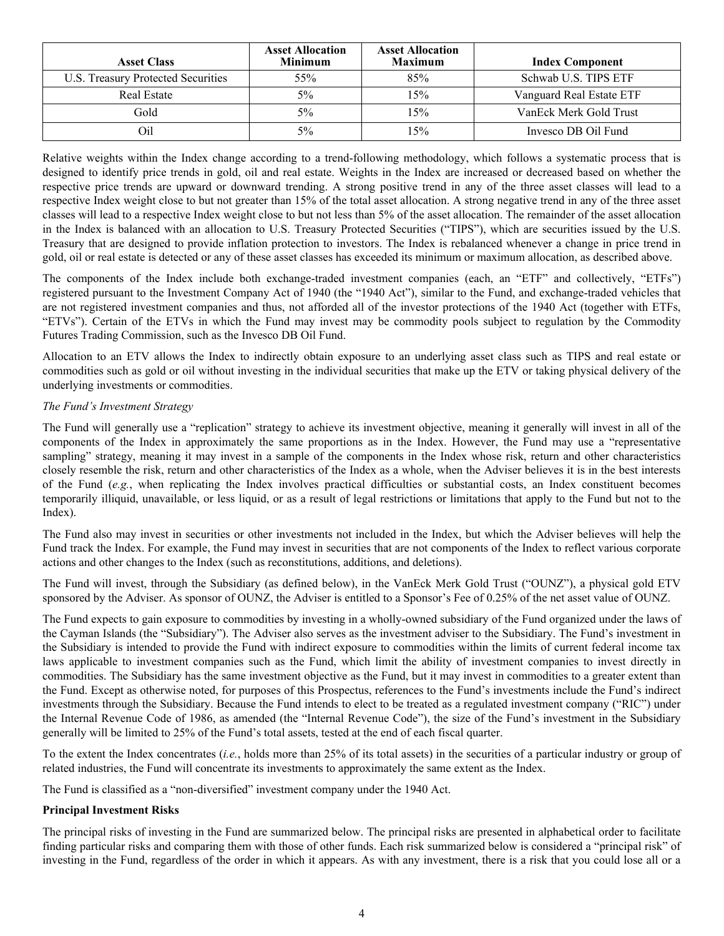| <b>Asset Class</b>                 | <b>Asset Allocation</b><br><b>Minimum</b> | <b>Asset Allocation</b><br><b>Maximum</b> | <b>Index Component</b>   |
|------------------------------------|-------------------------------------------|-------------------------------------------|--------------------------|
| U.S. Treasury Protected Securities | 55%                                       | 85%                                       | Schwab U.S. TIPS ETF     |
| Real Estate                        | 5%                                        | 15%                                       | Vanguard Real Estate ETF |
| Gold                               | $5\%$                                     | 15%                                       | VanEck Merk Gold Trust   |
| Oil                                | 5%                                        | 15%                                       | Invesco DB Oil Fund      |

Relative weights within the Index change according to a trend-following methodology, which follows a systematic process that is designed to identify price trends in gold, oil and real estate. Weights in the Index are increased or decreased based on whether the respective price trends are upward or downward trending. A strong positive trend in any of the three asset classes will lead to a respective Index weight close to but not greater than 15% of the total asset allocation. A strong negative trend in any of the three asset classes will lead to a respective Index weight close to but not less than 5% of the asset allocation. The remainder of the asset allocation in the Index is balanced with an allocation to U.S. Treasury Protected Securities ("TIPS"), which are securities issued by the U.S. Treasury that are designed to provide inflation protection to investors. The Index is rebalanced whenever a change in price trend in gold, oil or real estate is detected or any of these asset classes has exceeded its minimum or maximum allocation, as described above.

The components of the Index include both exchange-traded investment companies (each, an "ETF" and collectively, "ETFs") registered pursuant to the Investment Company Act of 1940 (the "1940 Act"), similar to the Fund, and exchange-traded vehicles that are not registered investment companies and thus, not afforded all of the investor protections of the 1940 Act (together with ETFs, "ETVs"). Certain of the ETVs in which the Fund may invest may be commodity pools subject to regulation by the Commodity Futures Trading Commission, such as the Invesco DB Oil Fund.

Allocation to an ETV allows the Index to indirectly obtain exposure to an underlying asset class such as TIPS and real estate or commodities such as gold or oil without investing in the individual securities that make up the ETV or taking physical delivery of the underlying investments or commodities.

## *The Fund's Investment Strategy*

The Fund will generally use a "replication" strategy to achieve its investment objective, meaning it generally will invest in all of the components of the Index in approximately the same proportions as in the Index. However, the Fund may use a "representative sampling" strategy, meaning it may invest in a sample of the components in the Index whose risk, return and other characteristics closely resemble the risk, return and other characteristics of the Index as a whole, when the Adviser believes it is in the best interests of the Fund (*e.g.*, when replicating the Index involves practical difficulties or substantial costs, an Index constituent becomes temporarily illiquid, unavailable, or less liquid, or as a result of legal restrictions or limitations that apply to the Fund but not to the Index).

The Fund also may invest in securities or other investments not included in the Index, but which the Adviser believes will help the Fund track the Index. For example, the Fund may invest in securities that are not components of the Index to reflect various corporate actions and other changes to the Index (such as reconstitutions, additions, and deletions).

The Fund will invest, through the Subsidiary (as defined below), in the VanEck Merk Gold Trust ("OUNZ"), a physical gold ETV sponsored by the Adviser. As sponsor of OUNZ, the Adviser is entitled to a Sponsor's Fee of 0.25% of the net asset value of OUNZ.

The Fund expects to gain exposure to commodities by investing in a wholly-owned subsidiary of the Fund organized under the laws of the Cayman Islands (the "Subsidiary"). The Adviser also serves as the investment adviser to the Subsidiary. The Fund's investment in the Subsidiary is intended to provide the Fund with indirect exposure to commodities within the limits of current federal income tax laws applicable to investment companies such as the Fund, which limit the ability of investment companies to invest directly in commodities. The Subsidiary has the same investment objective as the Fund, but it may invest in commodities to a greater extent than the Fund. Except as otherwise noted, for purposes of this Prospectus, references to the Fund's investments include the Fund's indirect investments through the Subsidiary. Because the Fund intends to elect to be treated as a regulated investment company ("RIC") under the Internal Revenue Code of 1986, as amended (the "Internal Revenue Code"), the size of the Fund's investment in the Subsidiary generally will be limited to 25% of the Fund's total assets, tested at the end of each fiscal quarter.

To the extent the Index concentrates (*i.e.*, holds more than 25% of its total assets) in the securities of a particular industry or group of related industries, the Fund will concentrate its investments to approximately the same extent as the Index.

The Fund is classified as a "non-diversified" investment company under the 1940 Act.

## **Principal Investment Risks**

The principal risks of investing in the Fund are summarized below. The principal risks are presented in alphabetical order to facilitate finding particular risks and comparing them with those of other funds. Each risk summarized below is considered a "principal risk" of investing in the Fund, regardless of the order in which it appears. As with any investment, there is a risk that you could lose all or a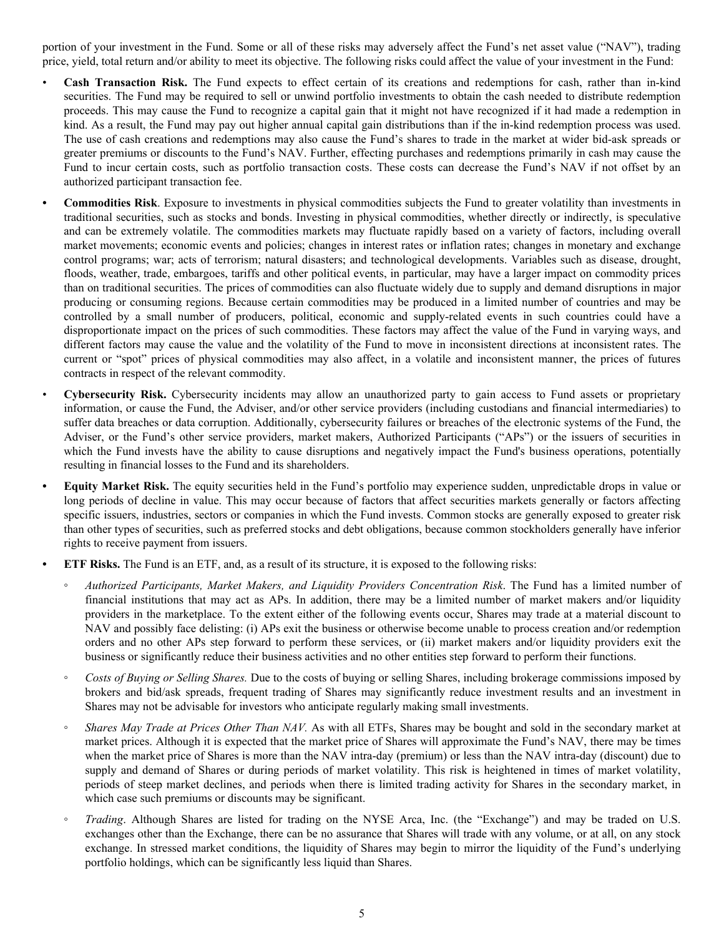portion of your investment in the Fund. Some or all of these risks may adversely affect the Fund's net asset value ("NAV"), trading price, yield, total return and/or ability to meet its objective. The following risks could affect the value of your investment in the Fund:

- **Cash Transaction Risk.** The Fund expects to effect certain of its creations and redemptions for cash, rather than in-kind securities. The Fund may be required to sell or unwind portfolio investments to obtain the cash needed to distribute redemption proceeds. This may cause the Fund to recognize a capital gain that it might not have recognized if it had made a redemption in kind. As a result, the Fund may pay out higher annual capital gain distributions than if the in-kind redemption process was used. The use of cash creations and redemptions may also cause the Fund's shares to trade in the market at wider bid-ask spreads or greater premiums or discounts to the Fund's NAV. Further, effecting purchases and redemptions primarily in cash may cause the Fund to incur certain costs, such as portfolio transaction costs. These costs can decrease the Fund's NAV if not offset by an authorized participant transaction fee.
- **• Commodities Risk**. Exposure to investments in physical commodities subjects the Fund to greater volatility than investments in traditional securities, such as stocks and bonds. Investing in physical commodities, whether directly or indirectly, is speculative and can be extremely volatile. The commodities markets may fluctuate rapidly based on a variety of factors, including overall market movements; economic events and policies; changes in interest rates or inflation rates; changes in monetary and exchange control programs; war; acts of terrorism; natural disasters; and technological developments. Variables such as disease, drought, floods, weather, trade, embargoes, tariffs and other political events, in particular, may have a larger impact on commodity prices than on traditional securities. The prices of commodities can also fluctuate widely due to supply and demand disruptions in major producing or consuming regions. Because certain commodities may be produced in a limited number of countries and may be controlled by a small number of producers, political, economic and supply-related events in such countries could have a disproportionate impact on the prices of such commodities. These factors may affect the value of the Fund in varying ways, and different factors may cause the value and the volatility of the Fund to move in inconsistent directions at inconsistent rates. The current or "spot" prices of physical commodities may also affect, in a volatile and inconsistent manner, the prices of futures contracts in respect of the relevant commodity.
- **Cybersecurity Risk.** Cybersecurity incidents may allow an unauthorized party to gain access to Fund assets or proprietary information, or cause the Fund, the Adviser, and/or other service providers (including custodians and financial intermediaries) to suffer data breaches or data corruption. Additionally, cybersecurity failures or breaches of the electronic systems of the Fund, the Adviser, or the Fund's other service providers, market makers, Authorized Participants ("APs") or the issuers of securities in which the Fund invests have the ability to cause disruptions and negatively impact the Fund's business operations, potentially resulting in financial losses to the Fund and its shareholders.
- **• Equity Market Risk.** The equity securities held in the Fund's portfolio may experience sudden, unpredictable drops in value or long periods of decline in value. This may occur because of factors that affect securities markets generally or factors affecting specific issuers, industries, sectors or companies in which the Fund invests. Common stocks are generally exposed to greater risk than other types of securities, such as preferred stocks and debt obligations, because common stockholders generally have inferior rights to receive payment from issuers.
- **• ETF Risks.** The Fund is an ETF, and, as a result of its structure, it is exposed to the following risks:
	- *◦ Authorized Participants, Market Makers, and Liquidity Providers Concentration Risk*. The Fund has a limited number of financial institutions that may act as APs. In addition, there may be a limited number of market makers and/or liquidity providers in the marketplace. To the extent either of the following events occur, Shares may trade at a material discount to NAV and possibly face delisting: (i) APs exit the business or otherwise become unable to process creation and/or redemption orders and no other APs step forward to perform these services, or (ii) market makers and/or liquidity providers exit the business or significantly reduce their business activities and no other entities step forward to perform their functions.
	- *◦ Costs of Buying or Selling Shares.* Due to the costs of buying or selling Shares, including brokerage commissions imposed by brokers and bid/ask spreads, frequent trading of Shares may significantly reduce investment results and an investment in Shares may not be advisable for investors who anticipate regularly making small investments.
	- *Shares May Trade at Prices Other Than NAV.* As with all ETFs, Shares may be bought and sold in the secondary market at market prices. Although it is expected that the market price of Shares will approximate the Fund's NAV, there may be times when the market price of Shares is more than the NAV intra-day (premium) or less than the NAV intra-day (discount) due to supply and demand of Shares or during periods of market volatility. This risk is heightened in times of market volatility, periods of steep market declines, and periods when there is limited trading activity for Shares in the secondary market, in which case such premiums or discounts may be significant.
	- *Trading*. Although Shares are listed for trading on the NYSE Arca, Inc. (the "Exchange") and may be traded on U.S. exchanges other than the Exchange, there can be no assurance that Shares will trade with any volume, or at all, on any stock exchange. In stressed market conditions, the liquidity of Shares may begin to mirror the liquidity of the Fund's underlying portfolio holdings, which can be significantly less liquid than Shares.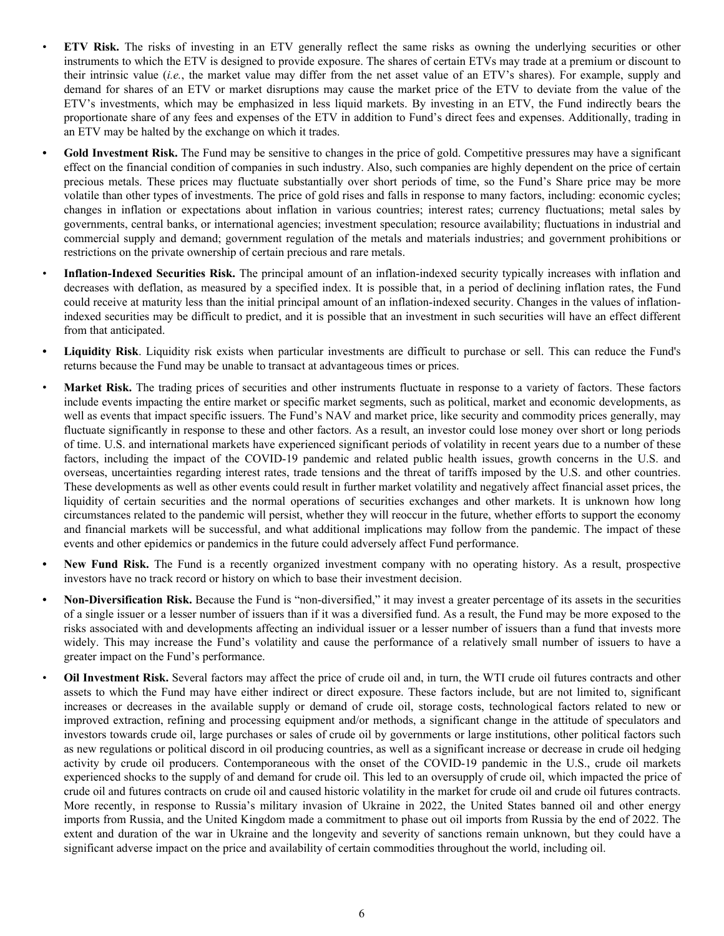- **ETV Risk.** The risks of investing in an ETV generally reflect the same risks as owning the underlying securities or other instruments to which the ETV is designed to provide exposure. The shares of certain ETVs may trade at a premium or discount to their intrinsic value (*i.e.*, the market value may differ from the net asset value of an ETV's shares). For example, supply and demand for shares of an ETV or market disruptions may cause the market price of the ETV to deviate from the value of the ETV's investments, which may be emphasized in less liquid markets. By investing in an ETV, the Fund indirectly bears the proportionate share of any fees and expenses of the ETV in addition to Fund's direct fees and expenses. Additionally, trading in an ETV may be halted by the exchange on which it trades.
- **• Gold Investment Risk.** The Fund may be sensitive to changes in the price of gold. Competitive pressures may have a significant effect on the financial condition of companies in such industry. Also, such companies are highly dependent on the price of certain precious metals. These prices may fluctuate substantially over short periods of time, so the Fund's Share price may be more volatile than other types of investments. The price of gold rises and falls in response to many factors, including: economic cycles; changes in inflation or expectations about inflation in various countries; interest rates; currency fluctuations; metal sales by governments, central banks, or international agencies; investment speculation; resource availability; fluctuations in industrial and commercial supply and demand; government regulation of the metals and materials industries; and government prohibitions or restrictions on the private ownership of certain precious and rare metals.
- **Inflation-Indexed Securities Risk.** The principal amount of an inflation-indexed security typically increases with inflation and decreases with deflation, as measured by a specified index. It is possible that, in a period of declining inflation rates, the Fund could receive at maturity less than the initial principal amount of an inflation-indexed security. Changes in the values of inflationindexed securities may be difficult to predict, and it is possible that an investment in such securities will have an effect different from that anticipated.
- **• Liquidity Risk**. Liquidity risk exists when particular investments are difficult to purchase or sell. This can reduce the Fund's returns because the Fund may be unable to transact at advantageous times or prices.
- *•* **Market Risk.** The trading prices of securities and other instruments fluctuate in response to a variety of factors. These factors include events impacting the entire market or specific market segments, such as political, market and economic developments, as well as events that impact specific issuers. The Fund's NAV and market price, like security and commodity prices generally, may fluctuate significantly in response to these and other factors. As a result, an investor could lose money over short or long periods of time. U.S. and international markets have experienced significant periods of volatility in recent years due to a number of these factors, including the impact of the COVID-19 pandemic and related public health issues, growth concerns in the U.S. and overseas, uncertainties regarding interest rates, trade tensions and the threat of tariffs imposed by the U.S. and other countries. These developments as well as other events could result in further market volatility and negatively affect financial asset prices, the liquidity of certain securities and the normal operations of securities exchanges and other markets. It is unknown how long circumstances related to the pandemic will persist, whether they will reoccur in the future, whether efforts to support the economy and financial markets will be successful, and what additional implications may follow from the pandemic. The impact of these events and other epidemics or pandemics in the future could adversely affect Fund performance.
- **• New Fund Risk.** The Fund is a recently organized investment company with no operating history. As a result, prospective investors have no track record or history on which to base their investment decision.
- **• Non-Diversification Risk.** Because the Fund is "non-diversified," it may invest a greater percentage of its assets in the securities of a single issuer or a lesser number of issuers than if it was a diversified fund. As a result, the Fund may be more exposed to the risks associated with and developments affecting an individual issuer or a lesser number of issuers than a fund that invests more widely. This may increase the Fund's volatility and cause the performance of a relatively small number of issuers to have a greater impact on the Fund's performance.
- **Oil Investment Risk.** Several factors may affect the price of crude oil and, in turn, the WTI crude oil futures contracts and other assets to which the Fund may have either indirect or direct exposure. These factors include, but are not limited to, significant increases or decreases in the available supply or demand of crude oil, storage costs, technological factors related to new or improved extraction, refining and processing equipment and/or methods, a significant change in the attitude of speculators and investors towards crude oil, large purchases or sales of crude oil by governments or large institutions, other political factors such as new regulations or political discord in oil producing countries, as well as a significant increase or decrease in crude oil hedging activity by crude oil producers. Contemporaneous with the onset of the COVID-19 pandemic in the U.S., crude oil markets experienced shocks to the supply of and demand for crude oil. This led to an oversupply of crude oil, which impacted the price of crude oil and futures contracts on crude oil and caused historic volatility in the market for crude oil and crude oil futures contracts. More recently, in response to Russia's military invasion of Ukraine in 2022, the United States banned oil and other energy imports from Russia, and the United Kingdom made a commitment to phase out oil imports from Russia by the end of 2022. The extent and duration of the war in Ukraine and the longevity and severity of sanctions remain unknown, but they could have a significant adverse impact on the price and availability of certain commodities throughout the world, including oil.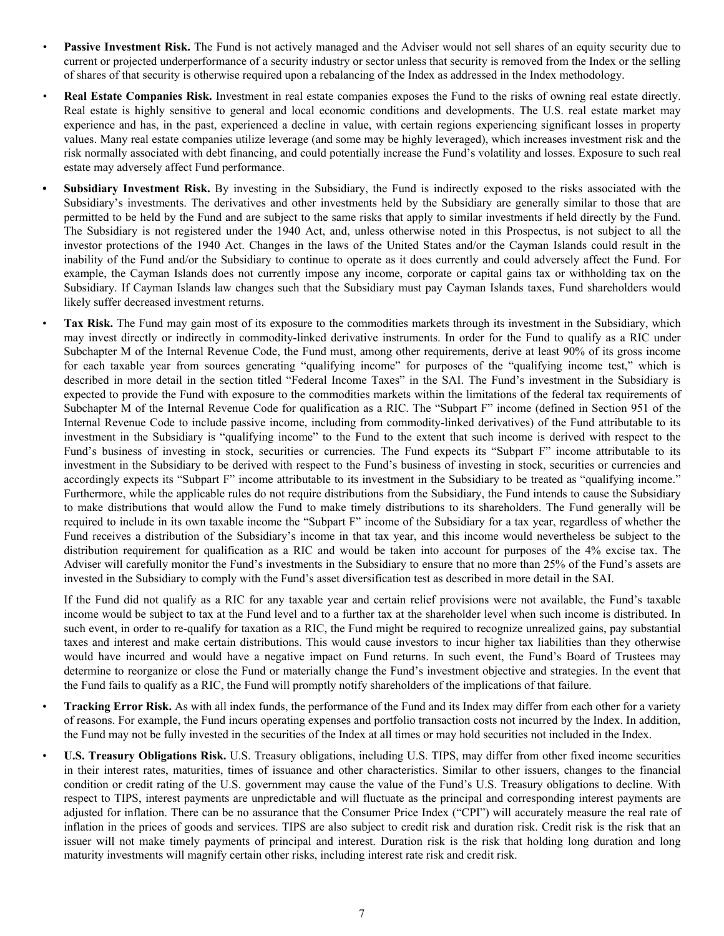- **Passive Investment Risk.** The Fund is not actively managed and the Adviser would not sell shares of an equity security due to current or projected underperformance of a security industry or sector unless that security is removed from the Index or the selling of shares of that security is otherwise required upon a rebalancing of the Index as addressed in the Index methodology.
- *•* **Real Estate Companies Risk.** Investment in real estate companies exposes the Fund to the risks of owning real estate directly. Real estate is highly sensitive to general and local economic conditions and developments. The U.S. real estate market may experience and has, in the past, experienced a decline in value, with certain regions experiencing significant losses in property values. Many real estate companies utilize leverage (and some may be highly leveraged), which increases investment risk and the risk normally associated with debt financing, and could potentially increase the Fund's volatility and losses. Exposure to such real estate may adversely affect Fund performance.
- **• Subsidiary Investment Risk.** By investing in the Subsidiary, the Fund is indirectly exposed to the risks associated with the Subsidiary's investments. The derivatives and other investments held by the Subsidiary are generally similar to those that are permitted to be held by the Fund and are subject to the same risks that apply to similar investments if held directly by the Fund. The Subsidiary is not registered under the 1940 Act, and, unless otherwise noted in this Prospectus, is not subject to all the investor protections of the 1940 Act. Changes in the laws of the United States and/or the Cayman Islands could result in the inability of the Fund and/or the Subsidiary to continue to operate as it does currently and could adversely affect the Fund. For example, the Cayman Islands does not currently impose any income, corporate or capital gains tax or withholding tax on the Subsidiary. If Cayman Islands law changes such that the Subsidiary must pay Cayman Islands taxes, Fund shareholders would likely suffer decreased investment returns.

• **Tax Risk.** The Fund may gain most of its exposure to the commodities markets through its investment in the Subsidiary, which may invest directly or indirectly in commodity-linked derivative instruments. In order for the Fund to qualify as a RIC under Subchapter M of the Internal Revenue Code, the Fund must, among other requirements, derive at least 90% of its gross income for each taxable year from sources generating "qualifying income" for purposes of the "qualifying income test," which is described in more detail in the section titled "Federal Income Taxes" in the SAI. The Fund's investment in the Subsidiary is expected to provide the Fund with exposure to the commodities markets within the limitations of the federal tax requirements of Subchapter M of the Internal Revenue Code for qualification as a RIC. The "Subpart F" income (defined in Section 951 of the Internal Revenue Code to include passive income, including from commodity-linked derivatives) of the Fund attributable to its investment in the Subsidiary is "qualifying income" to the Fund to the extent that such income is derived with respect to the Fund's business of investing in stock, securities or currencies. The Fund expects its "Subpart F" income attributable to its investment in the Subsidiary to be derived with respect to the Fund's business of investing in stock, securities or currencies and accordingly expects its "Subpart F" income attributable to its investment in the Subsidiary to be treated as "qualifying income." Furthermore, while the applicable rules do not require distributions from the Subsidiary, the Fund intends to cause the Subsidiary to make distributions that would allow the Fund to make timely distributions to its shareholders. The Fund generally will be required to include in its own taxable income the "Subpart F" income of the Subsidiary for a tax year, regardless of whether the Fund receives a distribution of the Subsidiary's income in that tax year, and this income would nevertheless be subject to the distribution requirement for qualification as a RIC and would be taken into account for purposes of the 4% excise tax. The Adviser will carefully monitor the Fund's investments in the Subsidiary to ensure that no more than 25% of the Fund's assets are invested in the Subsidiary to comply with the Fund's asset diversification test as described in more detail in the SAI.

If the Fund did not qualify as a RIC for any taxable year and certain relief provisions were not available, the Fund's taxable income would be subject to tax at the Fund level and to a further tax at the shareholder level when such income is distributed. In such event, in order to re-qualify for taxation as a RIC, the Fund might be required to recognize unrealized gains, pay substantial taxes and interest and make certain distributions. This would cause investors to incur higher tax liabilities than they otherwise would have incurred and would have a negative impact on Fund returns. In such event, the Fund's Board of Trustees may determine to reorganize or close the Fund or materially change the Fund's investment objective and strategies. In the event that the Fund fails to qualify as a RIC, the Fund will promptly notify shareholders of the implications of that failure.

- **Tracking Error Risk.** As with all index funds, the performance of the Fund and its Index may differ from each other for a variety of reasons. For example, the Fund incurs operating expenses and portfolio transaction costs not incurred by the Index. In addition, the Fund may not be fully invested in the securities of the Index at all times or may hold securities not included in the Index.
- **U.S. Treasury Obligations Risk.** U.S. Treasury obligations, including U.S. TIPS, may differ from other fixed income securities in their interest rates, maturities, times of issuance and other characteristics. Similar to other issuers, changes to the financial condition or credit rating of the U.S. government may cause the value of the Fund's U.S. Treasury obligations to decline. With respect to TIPS, interest payments are unpredictable and will fluctuate as the principal and corresponding interest payments are adjusted for inflation. There can be no assurance that the Consumer Price Index ("CPI") will accurately measure the real rate of inflation in the prices of goods and services. TIPS are also subject to credit risk and duration risk. Credit risk is the risk that an issuer will not make timely payments of principal and interest. Duration risk is the risk that holding long duration and long maturity investments will magnify certain other risks, including interest rate risk and credit risk.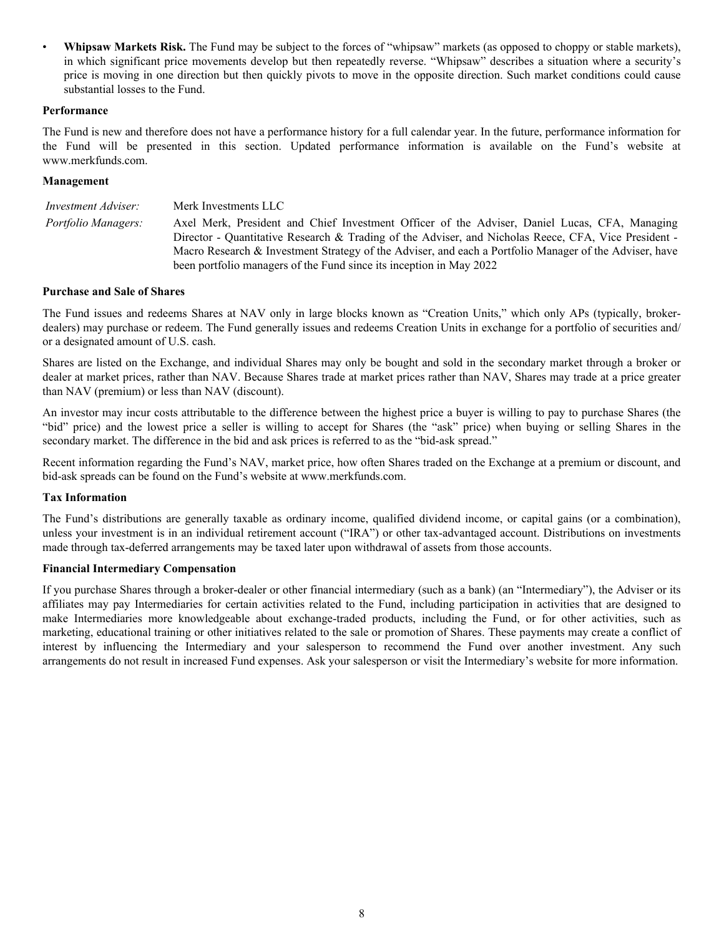• **Whipsaw Markets Risk.** The Fund may be subject to the forces of "whipsaw" markets (as opposed to choppy or stable markets), in which significant price movements develop but then repeatedly reverse. "Whipsaw" describes a situation where a security's price is moving in one direction but then quickly pivots to move in the opposite direction. Such market conditions could cause substantial losses to the Fund.

#### **Performance**

The Fund is new and therefore does not have a performance history for a full calendar year. In the future, performance information for the Fund will be presented in this section. Updated performance information is available on the Fund's website at www.merkfunds.com.

#### **Management**

| <i>Investment Adviser:</i> | Merk Investments LLC                                                                                                                                                                                                                                                                                                                                                                   |
|----------------------------|----------------------------------------------------------------------------------------------------------------------------------------------------------------------------------------------------------------------------------------------------------------------------------------------------------------------------------------------------------------------------------------|
| <i>Portfolio Managers:</i> | Axel Merk, President and Chief Investment Officer of the Adviser, Daniel Lucas, CFA, Managing<br>Director - Quantitative Research & Trading of the Adviser, and Nicholas Reece, CFA, Vice President -<br>Macro Research & Investment Strategy of the Adviser, and each a Portfolio Manager of the Adviser, have<br>been portfolio managers of the Fund since its inception in May 2022 |

#### **Purchase and Sale of Shares**

The Fund issues and redeems Shares at NAV only in large blocks known as "Creation Units," which only APs (typically, brokerdealers) may purchase or redeem. The Fund generally issues and redeems Creation Units in exchange for a portfolio of securities and/ or a designated amount of U.S. cash.

Shares are listed on the Exchange, and individual Shares may only be bought and sold in the secondary market through a broker or dealer at market prices, rather than NAV. Because Shares trade at market prices rather than NAV, Shares may trade at a price greater than NAV (premium) or less than NAV (discount).

An investor may incur costs attributable to the difference between the highest price a buyer is willing to pay to purchase Shares (the "bid" price) and the lowest price a seller is willing to accept for Shares (the "ask" price) when buying or selling Shares in the secondary market. The difference in the bid and ask prices is referred to as the "bid-ask spread."

Recent information regarding the Fund's NAV, market price, how often Shares traded on the Exchange at a premium or discount, and bid-ask spreads can be found on the Fund's website at www.merkfunds.com.

## **Tax Information**

The Fund's distributions are generally taxable as ordinary income, qualified dividend income, or capital gains (or a combination), unless your investment is in an individual retirement account ("IRA") or other tax-advantaged account. Distributions on investments made through tax-deferred arrangements may be taxed later upon withdrawal of assets from those accounts.

#### **Financial Intermediary Compensation**

If you purchase Shares through a broker-dealer or other financial intermediary (such as a bank) (an "Intermediary"), the Adviser or its affiliates may pay Intermediaries for certain activities related to the Fund, including participation in activities that are designed to make Intermediaries more knowledgeable about exchange-traded products, including the Fund, or for other activities, such as marketing, educational training or other initiatives related to the sale or promotion of Shares. These payments may create a conflict of interest by influencing the Intermediary and your salesperson to recommend the Fund over another investment. Any such arrangements do not result in increased Fund expenses. Ask your salesperson or visit the Intermediary's website for more information.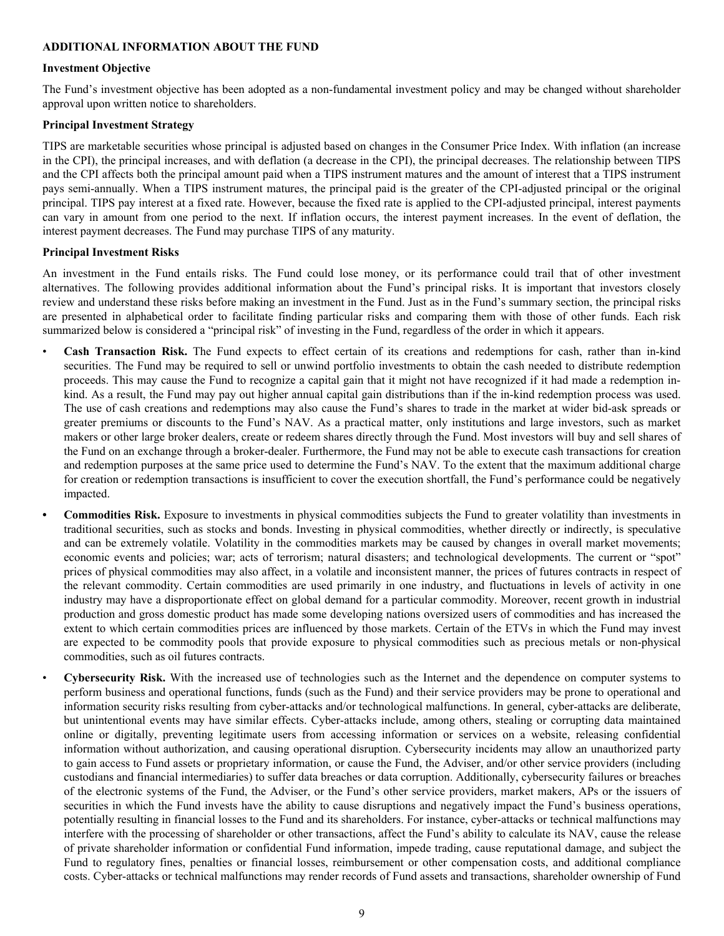### **ADDITIONAL INFORMATION ABOUT THE FUND**

#### **Investment Objective**

The Fund's investment objective has been adopted as a non-fundamental investment policy and may be changed without shareholder approval upon written notice to shareholders.

#### **Principal Investment Strategy**

TIPS are marketable securities whose principal is adjusted based on changes in the Consumer Price Index. With inflation (an increase in the CPI), the principal increases, and with deflation (a decrease in the CPI), the principal decreases. The relationship between TIPS and the CPI affects both the principal amount paid when a TIPS instrument matures and the amount of interest that a TIPS instrument pays semi-annually. When a TIPS instrument matures, the principal paid is the greater of the CPI-adjusted principal or the original principal. TIPS pay interest at a fixed rate. However, because the fixed rate is applied to the CPI-adjusted principal, interest payments can vary in amount from one period to the next. If inflation occurs, the interest payment increases. In the event of deflation, the interest payment decreases. The Fund may purchase TIPS of any maturity.

#### **Principal Investment Risks**

An investment in the Fund entails risks. The Fund could lose money, or its performance could trail that of other investment alternatives. The following provides additional information about the Fund's principal risks. It is important that investors closely review and understand these risks before making an investment in the Fund. Just as in the Fund's summary section, the principal risks are presented in alphabetical order to facilitate finding particular risks and comparing them with those of other funds. Each risk summarized below is considered a "principal risk" of investing in the Fund, regardless of the order in which it appears.

- **Cash Transaction Risk.** The Fund expects to effect certain of its creations and redemptions for cash, rather than in-kind securities. The Fund may be required to sell or unwind portfolio investments to obtain the cash needed to distribute redemption proceeds. This may cause the Fund to recognize a capital gain that it might not have recognized if it had made a redemption inkind. As a result, the Fund may pay out higher annual capital gain distributions than if the in-kind redemption process was used. The use of cash creations and redemptions may also cause the Fund's shares to trade in the market at wider bid-ask spreads or greater premiums or discounts to the Fund's NAV. As a practical matter, only institutions and large investors, such as market makers or other large broker dealers, create or redeem shares directly through the Fund. Most investors will buy and sell shares of the Fund on an exchange through a broker-dealer. Furthermore, the Fund may not be able to execute cash transactions for creation and redemption purposes at the same price used to determine the Fund's NAV. To the extent that the maximum additional charge for creation or redemption transactions is insufficient to cover the execution shortfall, the Fund's performance could be negatively impacted.
	- **• Commodities Risk.** Exposure to investments in physical commodities subjects the Fund to greater volatility than investments in traditional securities, such as stocks and bonds. Investing in physical commodities, whether directly or indirectly, is speculative and can be extremely volatile. Volatility in the commodities markets may be caused by changes in overall market movements; economic events and policies; war; acts of terrorism; natural disasters; and technological developments. The current or "spot" prices of physical commodities may also affect, in a volatile and inconsistent manner, the prices of futures contracts in respect of the relevant commodity. Certain commodities are used primarily in one industry, and fluctuations in levels of activity in one industry may have a disproportionate effect on global demand for a particular commodity. Moreover, recent growth in industrial production and gross domestic product has made some developing nations oversized users of commodities and has increased the extent to which certain commodities prices are influenced by those markets. Certain of the ETVs in which the Fund may invest are expected to be commodity pools that provide exposure to physical commodities such as precious metals or non-physical commodities, such as oil futures contracts.
	- **Cybersecurity Risk.** With the increased use of technologies such as the Internet and the dependence on computer systems to perform business and operational functions, funds (such as the Fund) and their service providers may be prone to operational and information security risks resulting from cyber-attacks and/or technological malfunctions. In general, cyber-attacks are deliberate, but unintentional events may have similar effects. Cyber-attacks include, among others, stealing or corrupting data maintained online or digitally, preventing legitimate users from accessing information or services on a website, releasing confidential information without authorization, and causing operational disruption. Cybersecurity incidents may allow an unauthorized party to gain access to Fund assets or proprietary information, or cause the Fund, the Adviser, and/or other service providers (including custodians and financial intermediaries) to suffer data breaches or data corruption. Additionally, cybersecurity failures or breaches of the electronic systems of the Fund, the Adviser, or the Fund's other service providers, market makers, APs or the issuers of securities in which the Fund invests have the ability to cause disruptions and negatively impact the Fund's business operations, potentially resulting in financial losses to the Fund and its shareholders. For instance, cyber-attacks or technical malfunctions may interfere with the processing of shareholder or other transactions, affect the Fund's ability to calculate its NAV, cause the release of private shareholder information or confidential Fund information, impede trading, cause reputational damage, and subject the Fund to regulatory fines, penalties or financial losses, reimbursement or other compensation costs, and additional compliance costs. Cyber-attacks or technical malfunctions may render records of Fund assets and transactions, shareholder ownership of Fund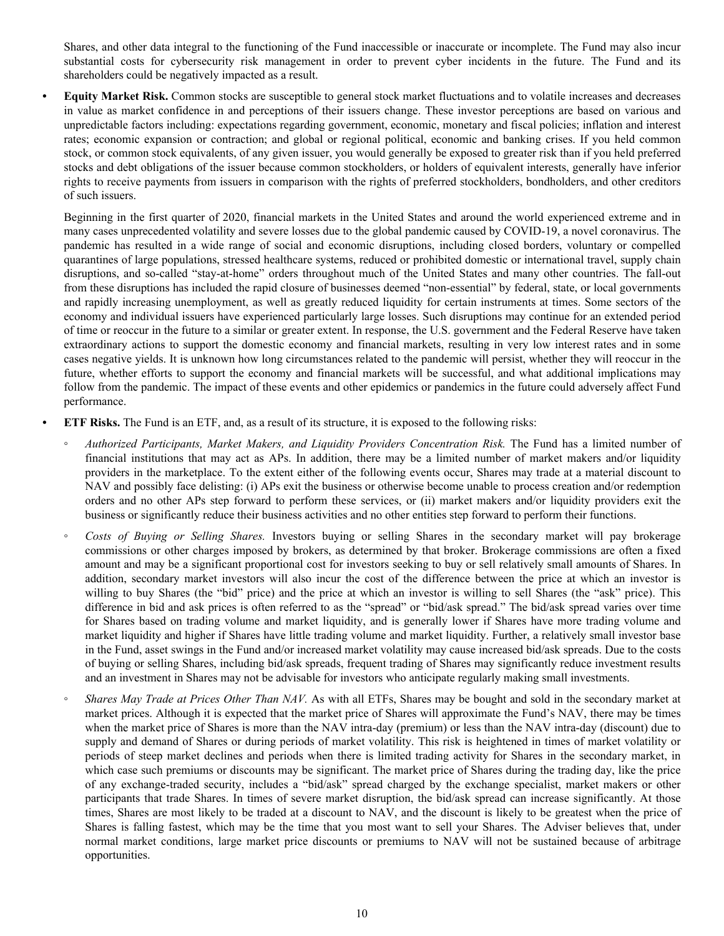Shares, and other data integral to the functioning of the Fund inaccessible or inaccurate or incomplete. The Fund may also incur substantial costs for cybersecurity risk management in order to prevent cyber incidents in the future. The Fund and its shareholders could be negatively impacted as a result.

**• Equity Market Risk.** Common stocks are susceptible to general stock market fluctuations and to volatile increases and decreases in value as market confidence in and perceptions of their issuers change. These investor perceptions are based on various and unpredictable factors including: expectations regarding government, economic, monetary and fiscal policies; inflation and interest rates; economic expansion or contraction; and global or regional political, economic and banking crises. If you held common stock, or common stock equivalents, of any given issuer, you would generally be exposed to greater risk than if you held preferred stocks and debt obligations of the issuer because common stockholders, or holders of equivalent interests, generally have inferior rights to receive payments from issuers in comparison with the rights of preferred stockholders, bondholders, and other creditors of such issuers.

Beginning in the first quarter of 2020, financial markets in the United States and around the world experienced extreme and in many cases unprecedented volatility and severe losses due to the global pandemic caused by COVID-19, a novel coronavirus. The pandemic has resulted in a wide range of social and economic disruptions, including closed borders, voluntary or compelled quarantines of large populations, stressed healthcare systems, reduced or prohibited domestic or international travel, supply chain disruptions, and so-called "stay-at-home" orders throughout much of the United States and many other countries. The fall-out from these disruptions has included the rapid closure of businesses deemed "non-essential" by federal, state, or local governments and rapidly increasing unemployment, as well as greatly reduced liquidity for certain instruments at times. Some sectors of the economy and individual issuers have experienced particularly large losses. Such disruptions may continue for an extended period of time or reoccur in the future to a similar or greater extent. In response, the U.S. government and the Federal Reserve have taken extraordinary actions to support the domestic economy and financial markets, resulting in very low interest rates and in some cases negative yields. It is unknown how long circumstances related to the pandemic will persist, whether they will reoccur in the future, whether efforts to support the economy and financial markets will be successful, and what additional implications may follow from the pandemic. The impact of these events and other epidemics or pandemics in the future could adversely affect Fund performance.

- **• ETF Risks.** The Fund is an ETF, and, as a result of its structure, it is exposed to the following risks:
	- *◦ Authorized Participants, Market Makers, and Liquidity Providers Concentration Risk.* The Fund has a limited number of financial institutions that may act as APs. In addition, there may be a limited number of market makers and/or liquidity providers in the marketplace. To the extent either of the following events occur, Shares may trade at a material discount to NAV and possibly face delisting: (i) APs exit the business or otherwise become unable to process creation and/or redemption orders and no other APs step forward to perform these services, or (ii) market makers and/or liquidity providers exit the business or significantly reduce their business activities and no other entities step forward to perform their functions.
	- *◦ Costs of Buying or Selling Shares.* Investors buying or selling Shares in the secondary market will pay brokerage commissions or other charges imposed by brokers, as determined by that broker. Brokerage commissions are often a fixed amount and may be a significant proportional cost for investors seeking to buy or sell relatively small amounts of Shares. In addition, secondary market investors will also incur the cost of the difference between the price at which an investor is willing to buy Shares (the "bid" price) and the price at which an investor is willing to sell Shares (the "ask" price). This difference in bid and ask prices is often referred to as the "spread" or "bid/ask spread." The bid/ask spread varies over time for Shares based on trading volume and market liquidity, and is generally lower if Shares have more trading volume and market liquidity and higher if Shares have little trading volume and market liquidity. Further, a relatively small investor base in the Fund, asset swings in the Fund and/or increased market volatility may cause increased bid/ask spreads. Due to the costs of buying or selling Shares, including bid/ask spreads, frequent trading of Shares may significantly reduce investment results and an investment in Shares may not be advisable for investors who anticipate regularly making small investments.
	- *Shares May Trade at Prices Other Than NAV.* As with all ETFs, Shares may be bought and sold in the secondary market at market prices. Although it is expected that the market price of Shares will approximate the Fund's NAV, there may be times when the market price of Shares is more than the NAV intra-day (premium) or less than the NAV intra-day (discount) due to supply and demand of Shares or during periods of market volatility. This risk is heightened in times of market volatility or periods of steep market declines and periods when there is limited trading activity for Shares in the secondary market, in which case such premiums or discounts may be significant. The market price of Shares during the trading day, like the price of any exchange-traded security, includes a "bid/ask" spread charged by the exchange specialist, market makers or other participants that trade Shares. In times of severe market disruption, the bid/ask spread can increase significantly. At those times, Shares are most likely to be traded at a discount to NAV, and the discount is likely to be greatest when the price of Shares is falling fastest, which may be the time that you most want to sell your Shares. The Adviser believes that, under normal market conditions, large market price discounts or premiums to NAV will not be sustained because of arbitrage opportunities.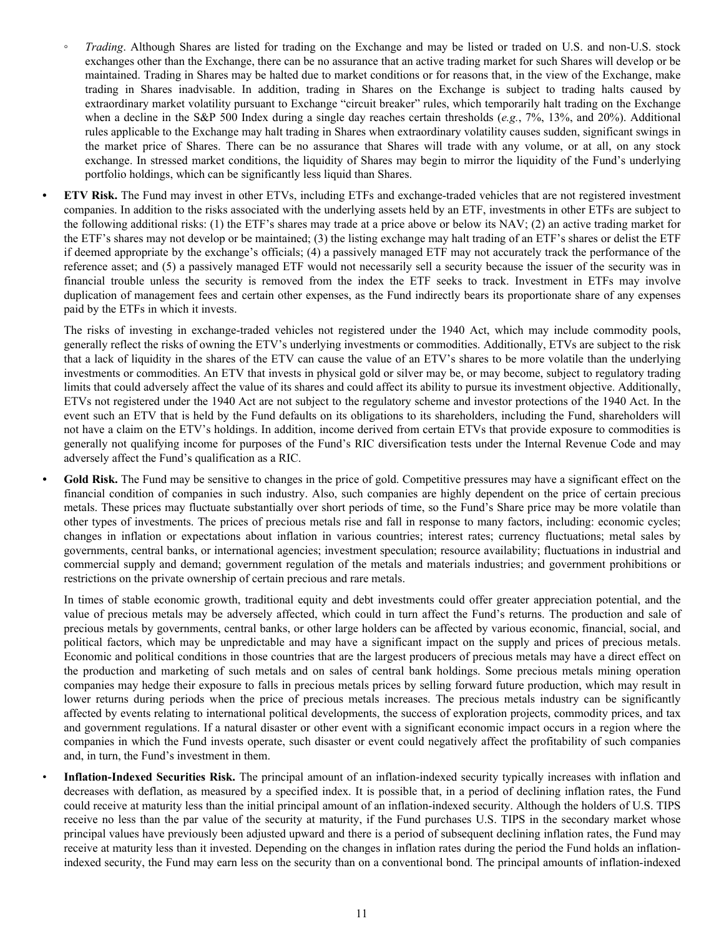- *Trading*. Although Shares are listed for trading on the Exchange and may be listed or traded on U.S. and non-U.S. stock exchanges other than the Exchange, there can be no assurance that an active trading market for such Shares will develop or be maintained. Trading in Shares may be halted due to market conditions or for reasons that, in the view of the Exchange, make trading in Shares inadvisable. In addition, trading in Shares on the Exchange is subject to trading halts caused by extraordinary market volatility pursuant to Exchange "circuit breaker" rules, which temporarily halt trading on the Exchange when a decline in the S&P 500 Index during a single day reaches certain thresholds (*e.g.*, 7%, 13%, and 20%). Additional rules applicable to the Exchange may halt trading in Shares when extraordinary volatility causes sudden, significant swings in the market price of Shares. There can be no assurance that Shares will trade with any volume, or at all, on any stock exchange. In stressed market conditions, the liquidity of Shares may begin to mirror the liquidity of the Fund's underlying portfolio holdings, which can be significantly less liquid than Shares.
- **• ETV Risk.** The Fund may invest in other ETVs, including ETFs and exchange-traded vehicles that are not registered investment companies. In addition to the risks associated with the underlying assets held by an ETF, investments in other ETFs are subject to the following additional risks: (1) the ETF's shares may trade at a price above or below its NAV; (2) an active trading market for the ETF's shares may not develop or be maintained; (3) the listing exchange may halt trading of an ETF's shares or delist the ETF if deemed appropriate by the exchange's officials; (4) a passively managed ETF may not accurately track the performance of the reference asset; and (5) a passively managed ETF would not necessarily sell a security because the issuer of the security was in financial trouble unless the security is removed from the index the ETF seeks to track. Investment in ETFs may involve duplication of management fees and certain other expenses, as the Fund indirectly bears its proportionate share of any expenses paid by the ETFs in which it invests.

The risks of investing in exchange-traded vehicles not registered under the 1940 Act, which may include commodity pools, generally reflect the risks of owning the ETV's underlying investments or commodities. Additionally, ETVs are subject to the risk that a lack of liquidity in the shares of the ETV can cause the value of an ETV's shares to be more volatile than the underlying investments or commodities. An ETV that invests in physical gold or silver may be, or may become, subject to regulatory trading limits that could adversely affect the value of its shares and could affect its ability to pursue its investment objective. Additionally, ETVs not registered under the 1940 Act are not subject to the regulatory scheme and investor protections of the 1940 Act. In the event such an ETV that is held by the Fund defaults on its obligations to its shareholders, including the Fund, shareholders will not have a claim on the ETV's holdings. In addition, income derived from certain ETVs that provide exposure to commodities is generally not qualifying income for purposes of the Fund's RIC diversification tests under the Internal Revenue Code and may adversely affect the Fund's qualification as a RIC.

Gold Risk. The Fund may be sensitive to changes in the price of gold. Competitive pressures may have a significant effect on the financial condition of companies in such industry. Also, such companies are highly dependent on the price of certain precious metals. These prices may fluctuate substantially over short periods of time, so the Fund's Share price may be more volatile than other types of investments. The prices of precious metals rise and fall in response to many factors, including: economic cycles; changes in inflation or expectations about inflation in various countries; interest rates; currency fluctuations; metal sales by governments, central banks, or international agencies; investment speculation; resource availability; fluctuations in industrial and commercial supply and demand; government regulation of the metals and materials industries; and government prohibitions or restrictions on the private ownership of certain precious and rare metals.

In times of stable economic growth, traditional equity and debt investments could offer greater appreciation potential, and the value of precious metals may be adversely affected, which could in turn affect the Fund's returns. The production and sale of precious metals by governments, central banks, or other large holders can be affected by various economic, financial, social, and political factors, which may be unpredictable and may have a significant impact on the supply and prices of precious metals. Economic and political conditions in those countries that are the largest producers of precious metals may have a direct effect on the production and marketing of such metals and on sales of central bank holdings. Some precious metals mining operation companies may hedge their exposure to falls in precious metals prices by selling forward future production, which may result in lower returns during periods when the price of precious metals increases. The precious metals industry can be significantly affected by events relating to international political developments, the success of exploration projects, commodity prices, and tax and government regulations. If a natural disaster or other event with a significant economic impact occurs in a region where the companies in which the Fund invests operate, such disaster or event could negatively affect the profitability of such companies and, in turn, the Fund's investment in them.

• **Inflation-Indexed Securities Risk.** The principal amount of an inflation-indexed security typically increases with inflation and decreases with deflation, as measured by a specified index. It is possible that, in a period of declining inflation rates, the Fund could receive at maturity less than the initial principal amount of an inflation-indexed security. Although the holders of U.S. TIPS receive no less than the par value of the security at maturity, if the Fund purchases U.S. TIPS in the secondary market whose principal values have previously been adjusted upward and there is a period of subsequent declining inflation rates, the Fund may receive at maturity less than it invested. Depending on the changes in inflation rates during the period the Fund holds an inflationindexed security, the Fund may earn less on the security than on a conventional bond. The principal amounts of inflation-indexed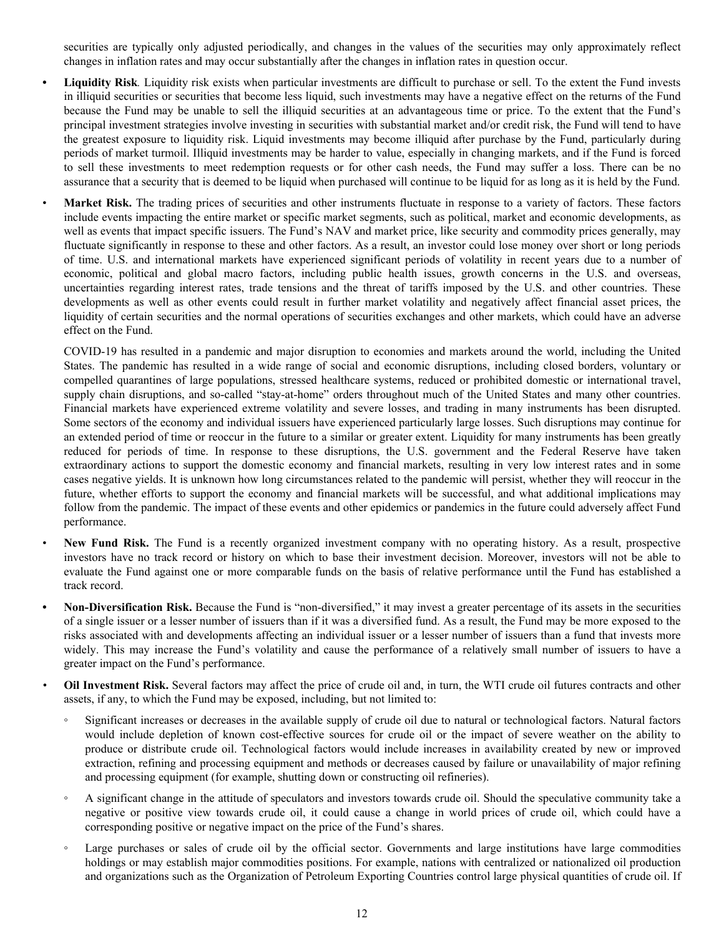securities are typically only adjusted periodically, and changes in the values of the securities may only approximately reflect changes in inflation rates and may occur substantially after the changes in inflation rates in question occur.

- **• Liquidity Risk***.* Liquidity risk exists when particular investments are difficult to purchase or sell. To the extent the Fund invests in illiquid securities or securities that become less liquid, such investments may have a negative effect on the returns of the Fund because the Fund may be unable to sell the illiquid securities at an advantageous time or price. To the extent that the Fund's principal investment strategies involve investing in securities with substantial market and/or credit risk, the Fund will tend to have the greatest exposure to liquidity risk. Liquid investments may become illiquid after purchase by the Fund, particularly during periods of market turmoil. Illiquid investments may be harder to value, especially in changing markets, and if the Fund is forced to sell these investments to meet redemption requests or for other cash needs, the Fund may suffer a loss. There can be no assurance that a security that is deemed to be liquid when purchased will continue to be liquid for as long as it is held by the Fund.
- Market Risk. The trading prices of securities and other instruments fluctuate in response to a variety of factors. These factors include events impacting the entire market or specific market segments, such as political, market and economic developments, as well as events that impact specific issuers. The Fund's NAV and market price, like security and commodity prices generally, may fluctuate significantly in response to these and other factors. As a result, an investor could lose money over short or long periods of time. U.S. and international markets have experienced significant periods of volatility in recent years due to a number of economic, political and global macro factors, including public health issues, growth concerns in the U.S. and overseas, uncertainties regarding interest rates, trade tensions and the threat of tariffs imposed by the U.S. and other countries. These developments as well as other events could result in further market volatility and negatively affect financial asset prices, the liquidity of certain securities and the normal operations of securities exchanges and other markets, which could have an adverse effect on the Fund.

COVID-19 has resulted in a pandemic and major disruption to economies and markets around the world, including the United States. The pandemic has resulted in a wide range of social and economic disruptions, including closed borders, voluntary or compelled quarantines of large populations, stressed healthcare systems, reduced or prohibited domestic or international travel, supply chain disruptions, and so-called "stay-at-home" orders throughout much of the United States and many other countries. Financial markets have experienced extreme volatility and severe losses, and trading in many instruments has been disrupted. Some sectors of the economy and individual issuers have experienced particularly large losses. Such disruptions may continue for an extended period of time or reoccur in the future to a similar or greater extent. Liquidity for many instruments has been greatly reduced for periods of time. In response to these disruptions, the U.S. government and the Federal Reserve have taken extraordinary actions to support the domestic economy and financial markets, resulting in very low interest rates and in some cases negative yields. It is unknown how long circumstances related to the pandemic will persist, whether they will reoccur in the future, whether efforts to support the economy and financial markets will be successful, and what additional implications may follow from the pandemic. The impact of these events and other epidemics or pandemics in the future could adversely affect Fund performance.

- **New Fund Risk.** The Fund is a recently organized investment company with no operating history. As a result, prospective investors have no track record or history on which to base their investment decision. Moreover, investors will not be able to evaluate the Fund against one or more comparable funds on the basis of relative performance until the Fund has established a track record.
- **• Non-Diversification Risk.** Because the Fund is "non-diversified," it may invest a greater percentage of its assets in the securities of a single issuer or a lesser number of issuers than if it was a diversified fund. As a result, the Fund may be more exposed to the risks associated with and developments affecting an individual issuer or a lesser number of issuers than a fund that invests more widely. This may increase the Fund's volatility and cause the performance of a relatively small number of issuers to have a greater impact on the Fund's performance.
- *•* **Oil Investment Risk.** Several factors may affect the price of crude oil and, in turn, the WTI crude oil futures contracts and other assets, if any, to which the Fund may be exposed, including, but not limited to:
	- Significant increases or decreases in the available supply of crude oil due to natural or technological factors. Natural factors would include depletion of known cost-effective sources for crude oil or the impact of severe weather on the ability to produce or distribute crude oil. Technological factors would include increases in availability created by new or improved extraction, refining and processing equipment and methods or decreases caused by failure or unavailability of major refining and processing equipment (for example, shutting down or constructing oil refineries).
	- A significant change in the attitude of speculators and investors towards crude oil. Should the speculative community take a negative or positive view towards crude oil, it could cause a change in world prices of crude oil, which could have a corresponding positive or negative impact on the price of the Fund's shares.
	- Large purchases or sales of crude oil by the official sector. Governments and large institutions have large commodities holdings or may establish major commodities positions. For example, nations with centralized or nationalized oil production and organizations such as the Organization of Petroleum Exporting Countries control large physical quantities of crude oil. If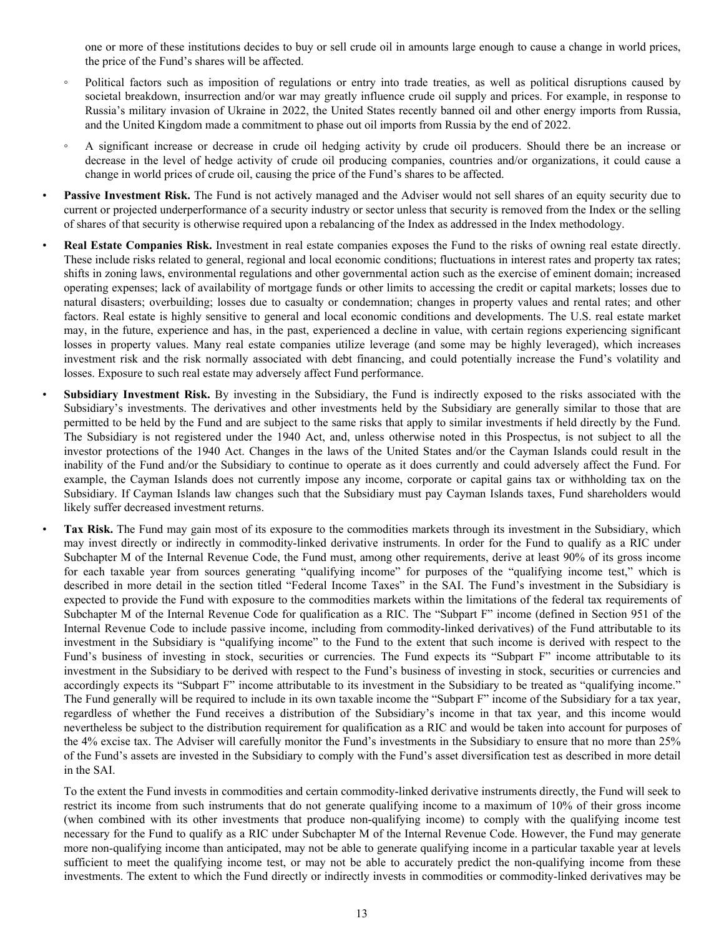one or more of these institutions decides to buy or sell crude oil in amounts large enough to cause a change in world prices, the price of the Fund's shares will be affected.

- Political factors such as imposition of regulations or entry into trade treaties, as well as political disruptions caused by societal breakdown, insurrection and/or war may greatly influence crude oil supply and prices. For example, in response to Russia's military invasion of Ukraine in 2022, the United States recently banned oil and other energy imports from Russia, and the United Kingdom made a commitment to phase out oil imports from Russia by the end of 2022.
- A significant increase or decrease in crude oil hedging activity by crude oil producers. Should there be an increase or decrease in the level of hedge activity of crude oil producing companies, countries and/or organizations, it could cause a change in world prices of crude oil, causing the price of the Fund's shares to be affected.
- Passive Investment Risk. The Fund is not actively managed and the Adviser would not sell shares of an equity security due to current or projected underperformance of a security industry or sector unless that security is removed from the Index or the selling of shares of that security is otherwise required upon a rebalancing of the Index as addressed in the Index methodology.
	- **Real Estate Companies Risk.** Investment in real estate companies exposes the Fund to the risks of owning real estate directly. These include risks related to general, regional and local economic conditions; fluctuations in interest rates and property tax rates; shifts in zoning laws, environmental regulations and other governmental action such as the exercise of eminent domain; increased operating expenses; lack of availability of mortgage funds or other limits to accessing the credit or capital markets; losses due to natural disasters; overbuilding; losses due to casualty or condemnation; changes in property values and rental rates; and other factors. Real estate is highly sensitive to general and local economic conditions and developments. The U.S. real estate market may, in the future, experience and has, in the past, experienced a decline in value, with certain regions experiencing significant losses in property values. Many real estate companies utilize leverage (and some may be highly leveraged), which increases investment risk and the risk normally associated with debt financing, and could potentially increase the Fund's volatility and losses. Exposure to such real estate may adversely affect Fund performance.
- **Subsidiary Investment Risk.** By investing in the Subsidiary, the Fund is indirectly exposed to the risks associated with the Subsidiary's investments. The derivatives and other investments held by the Subsidiary are generally similar to those that are permitted to be held by the Fund and are subject to the same risks that apply to similar investments if held directly by the Fund. The Subsidiary is not registered under the 1940 Act, and, unless otherwise noted in this Prospectus, is not subject to all the investor protections of the 1940 Act. Changes in the laws of the United States and/or the Cayman Islands could result in the inability of the Fund and/or the Subsidiary to continue to operate as it does currently and could adversely affect the Fund. For example, the Cayman Islands does not currently impose any income, corporate or capital gains tax or withholding tax on the Subsidiary. If Cayman Islands law changes such that the Subsidiary must pay Cayman Islands taxes, Fund shareholders would likely suffer decreased investment returns.

• **Tax Risk.** The Fund may gain most of its exposure to the commodities markets through its investment in the Subsidiary, which may invest directly or indirectly in commodity-linked derivative instruments. In order for the Fund to qualify as a RIC under Subchapter M of the Internal Revenue Code, the Fund must, among other requirements, derive at least 90% of its gross income for each taxable year from sources generating "qualifying income" for purposes of the "qualifying income test," which is described in more detail in the section titled "Federal Income Taxes" in the SAI. The Fund's investment in the Subsidiary is expected to provide the Fund with exposure to the commodities markets within the limitations of the federal tax requirements of Subchapter M of the Internal Revenue Code for qualification as a RIC. The "Subpart F" income (defined in Section 951 of the Internal Revenue Code to include passive income, including from commodity-linked derivatives) of the Fund attributable to its investment in the Subsidiary is "qualifying income" to the Fund to the extent that such income is derived with respect to the Fund's business of investing in stock, securities or currencies. The Fund expects its "Subpart F" income attributable to its investment in the Subsidiary to be derived with respect to the Fund's business of investing in stock, securities or currencies and accordingly expects its "Subpart F" income attributable to its investment in the Subsidiary to be treated as "qualifying income." The Fund generally will be required to include in its own taxable income the "Subpart F" income of the Subsidiary for a tax year, regardless of whether the Fund receives a distribution of the Subsidiary's income in that tax year, and this income would nevertheless be subject to the distribution requirement for qualification as a RIC and would be taken into account for purposes of the 4% excise tax. The Adviser will carefully monitor the Fund's investments in the Subsidiary to ensure that no more than 25% of the Fund's assets are invested in the Subsidiary to comply with the Fund's asset diversification test as described in more detail in the SAI.

To the extent the Fund invests in commodities and certain commodity-linked derivative instruments directly, the Fund will seek to restrict its income from such instruments that do not generate qualifying income to a maximum of 10% of their gross income (when combined with its other investments that produce non-qualifying income) to comply with the qualifying income test necessary for the Fund to qualify as a RIC under Subchapter M of the Internal Revenue Code. However, the Fund may generate more non-qualifying income than anticipated, may not be able to generate qualifying income in a particular taxable year at levels sufficient to meet the qualifying income test, or may not be able to accurately predict the non-qualifying income from these investments. The extent to which the Fund directly or indirectly invests in commodities or commodity-linked derivatives may be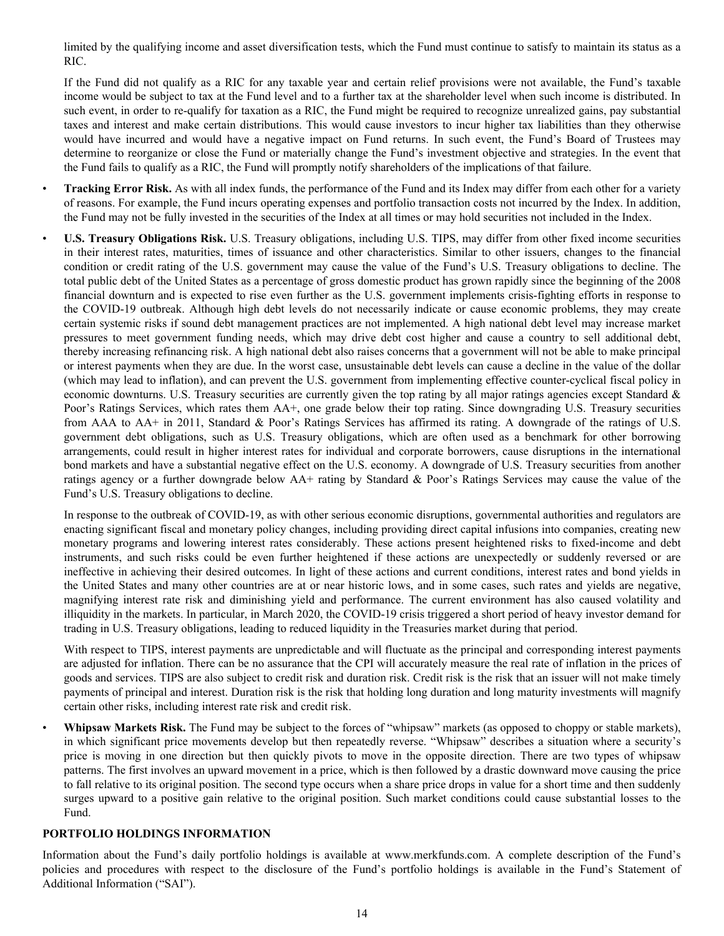limited by the qualifying income and asset diversification tests, which the Fund must continue to satisfy to maintain its status as a RIC.

If the Fund did not qualify as a RIC for any taxable year and certain relief provisions were not available, the Fund's taxable income would be subject to tax at the Fund level and to a further tax at the shareholder level when such income is distributed. In such event, in order to re-qualify for taxation as a RIC, the Fund might be required to recognize unrealized gains, pay substantial taxes and interest and make certain distributions. This would cause investors to incur higher tax liabilities than they otherwise would have incurred and would have a negative impact on Fund returns. In such event, the Fund's Board of Trustees may determine to reorganize or close the Fund or materially change the Fund's investment objective and strategies. In the event that the Fund fails to qualify as a RIC, the Fund will promptly notify shareholders of the implications of that failure.

- **Tracking Error Risk.** As with all index funds, the performance of the Fund and its Index may differ from each other for a variety of reasons. For example, the Fund incurs operating expenses and portfolio transaction costs not incurred by the Index. In addition, the Fund may not be fully invested in the securities of the Index at all times or may hold securities not included in the Index.
- **U.S. Treasury Obligations Risk.** U.S. Treasury obligations, including U.S. TIPS, may differ from other fixed income securities in their interest rates, maturities, times of issuance and other characteristics. Similar to other issuers, changes to the financial condition or credit rating of the U.S. government may cause the value of the Fund's U.S. Treasury obligations to decline. The total public debt of the United States as a percentage of gross domestic product has grown rapidly since the beginning of the 2008 financial downturn and is expected to rise even further as the U.S. government implements crisis-fighting efforts in response to the COVID-19 outbreak. Although high debt levels do not necessarily indicate or cause economic problems, they may create certain systemic risks if sound debt management practices are not implemented. A high national debt level may increase market pressures to meet government funding needs, which may drive debt cost higher and cause a country to sell additional debt, thereby increasing refinancing risk. A high national debt also raises concerns that a government will not be able to make principal or interest payments when they are due. In the worst case, unsustainable debt levels can cause a decline in the value of the dollar (which may lead to inflation), and can prevent the U.S. government from implementing effective counter-cyclical fiscal policy in economic downturns. U.S. Treasury securities are currently given the top rating by all major ratings agencies except Standard & Poor's Ratings Services, which rates them AA+, one grade below their top rating. Since downgrading U.S. Treasury securities from AAA to AA+ in 2011, Standard & Poor's Ratings Services has affirmed its rating. A downgrade of the ratings of U.S. government debt obligations, such as U.S. Treasury obligations, which are often used as a benchmark for other borrowing arrangements, could result in higher interest rates for individual and corporate borrowers, cause disruptions in the international bond markets and have a substantial negative effect on the U.S. economy. A downgrade of U.S. Treasury securities from another ratings agency or a further downgrade below AA+ rating by Standard & Poor's Ratings Services may cause the value of the Fund's U.S. Treasury obligations to decline.

In response to the outbreak of COVID-19, as with other serious economic disruptions, governmental authorities and regulators are enacting significant fiscal and monetary policy changes, including providing direct capital infusions into companies, creating new monetary programs and lowering interest rates considerably. These actions present heightened risks to fixed-income and debt instruments, and such risks could be even further heightened if these actions are unexpectedly or suddenly reversed or are ineffective in achieving their desired outcomes. In light of these actions and current conditions, interest rates and bond yields in the United States and many other countries are at or near historic lows, and in some cases, such rates and yields are negative, magnifying interest rate risk and diminishing yield and performance. The current environment has also caused volatility and illiquidity in the markets. In particular, in March 2020, the COVID-19 crisis triggered a short period of heavy investor demand for trading in U.S. Treasury obligations, leading to reduced liquidity in the Treasuries market during that period.

With respect to TIPS, interest payments are unpredictable and will fluctuate as the principal and corresponding interest payments are adjusted for inflation. There can be no assurance that the CPI will accurately measure the real rate of inflation in the prices of goods and services. TIPS are also subject to credit risk and duration risk. Credit risk is the risk that an issuer will not make timely payments of principal and interest. Duration risk is the risk that holding long duration and long maturity investments will magnify certain other risks, including interest rate risk and credit risk.

• **Whipsaw Markets Risk.** The Fund may be subject to the forces of "whipsaw" markets (as opposed to choppy or stable markets), in which significant price movements develop but then repeatedly reverse. "Whipsaw" describes a situation where a security's price is moving in one direction but then quickly pivots to move in the opposite direction. There are two types of whipsaw patterns. The first involves an upward movement in a price, which is then followed by a drastic downward move causing the price to fall relative to its original position. The second type occurs when a share price drops in value for a short time and then suddenly surges upward to a positive gain relative to the original position. Such market conditions could cause substantial losses to the Fund.

## **PORTFOLIO HOLDINGS INFORMATION**

Information about the Fund's daily portfolio holdings is available at www.merkfunds.com. A complete description of the Fund's policies and procedures with respect to the disclosure of the Fund's portfolio holdings is available in the Fund's Statement of Additional Information ("SAI").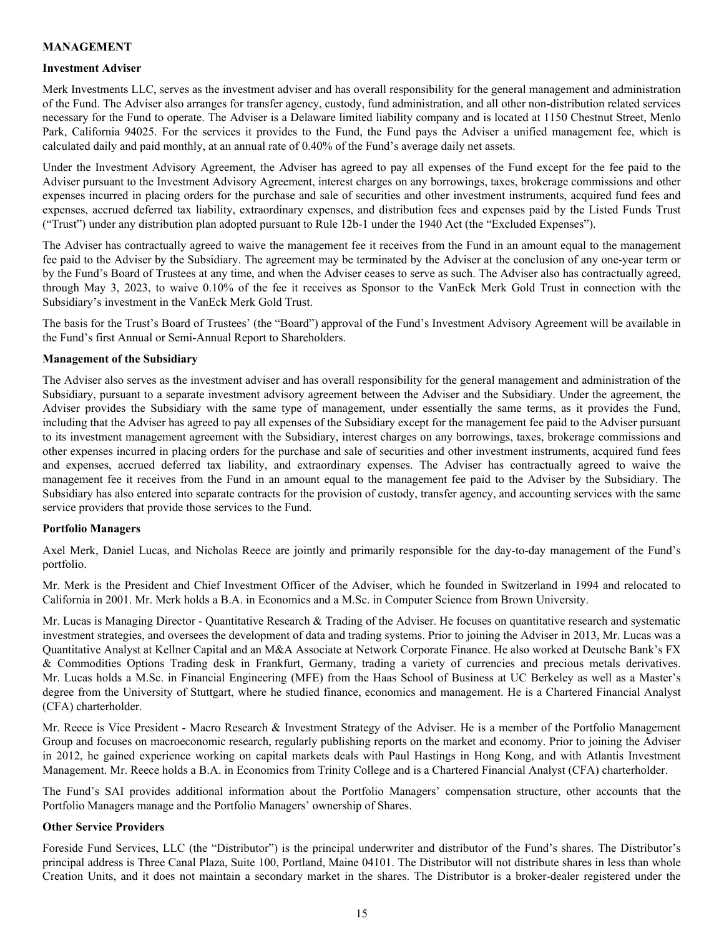#### **MANAGEMENT**

#### **Investment Adviser**

Merk Investments LLC, serves as the investment adviser and has overall responsibility for the general management and administration of the Fund. The Adviser also arranges for transfer agency, custody, fund administration, and all other non-distribution related services necessary for the Fund to operate. The Adviser is a Delaware limited liability company and is located at 1150 Chestnut Street, Menlo Park, California 94025. For the services it provides to the Fund, the Fund pays the Adviser a unified management fee, which is calculated daily and paid monthly, at an annual rate of 0.40% of the Fund's average daily net assets.

Under the Investment Advisory Agreement, the Adviser has agreed to pay all expenses of the Fund except for the fee paid to the Adviser pursuant to the Investment Advisory Agreement, interest charges on any borrowings, taxes, brokerage commissions and other expenses incurred in placing orders for the purchase and sale of securities and other investment instruments, acquired fund fees and expenses, accrued deferred tax liability, extraordinary expenses, and distribution fees and expenses paid by the Listed Funds Trust ("Trust") under any distribution plan adopted pursuant to Rule 12b-1 under the 1940 Act (the "Excluded Expenses").

The Adviser has contractually agreed to waive the management fee it receives from the Fund in an amount equal to the management fee paid to the Adviser by the Subsidiary. The agreement may be terminated by the Adviser at the conclusion of any one-year term or by the Fund's Board of Trustees at any time, and when the Adviser ceases to serve as such. The Adviser also has contractually agreed, through May 3, 2023, to waive 0.10% of the fee it receives as Sponsor to the VanEck Merk Gold Trust in connection with the Subsidiary's investment in the VanEck Merk Gold Trust.

The basis for the Trust's Board of Trustees' (the "Board") approval of the Fund's Investment Advisory Agreement will be available in the Fund's first Annual or Semi-Annual Report to Shareholders.

#### **Management of the Subsidiary**

The Adviser also serves as the investment adviser and has overall responsibility for the general management and administration of the Subsidiary, pursuant to a separate investment advisory agreement between the Adviser and the Subsidiary. Under the agreement, the Adviser provides the Subsidiary with the same type of management, under essentially the same terms, as it provides the Fund, including that the Adviser has agreed to pay all expenses of the Subsidiary except for the management fee paid to the Adviser pursuant to its investment management agreement with the Subsidiary, interest charges on any borrowings, taxes, brokerage commissions and other expenses incurred in placing orders for the purchase and sale of securities and other investment instruments, acquired fund fees and expenses, accrued deferred tax liability, and extraordinary expenses. The Adviser has contractually agreed to waive the management fee it receives from the Fund in an amount equal to the management fee paid to the Adviser by the Subsidiary. The Subsidiary has also entered into separate contracts for the provision of custody, transfer agency, and accounting services with the same service providers that provide those services to the Fund.

## **Portfolio Managers**

Axel Merk, Daniel Lucas, and Nicholas Reece are jointly and primarily responsible for the day-to-day management of the Fund's portfolio.

Mr. Merk is the President and Chief Investment Officer of the Adviser, which he founded in Switzerland in 1994 and relocated to California in 2001. Mr. Merk holds a B.A. in Economics and a M.Sc. in Computer Science from Brown University.

Mr. Lucas is Managing Director - Quantitative Research & Trading of the Adviser. He focuses on quantitative research and systematic investment strategies, and oversees the development of data and trading systems. Prior to joining the Adviser in 2013, Mr. Lucas was a Quantitative Analyst at Kellner Capital and an M&A Associate at Network Corporate Finance. He also worked at Deutsche Bank's FX & Commodities Options Trading desk in Frankfurt, Germany, trading a variety of currencies and precious metals derivatives. Mr. Lucas holds a M.Sc. in Financial Engineering (MFE) from the Haas School of Business at UC Berkeley as well as a Master's degree from the University of Stuttgart, where he studied finance, economics and management. He is a Chartered Financial Analyst (CFA) charterholder.

Mr. Reece is Vice President - Macro Research & Investment Strategy of the Adviser. He is a member of the Portfolio Management Group and focuses on macroeconomic research, regularly publishing reports on the market and economy. Prior to joining the Adviser in 2012, he gained experience working on capital markets deals with Paul Hastings in Hong Kong, and with Atlantis Investment Management. Mr. Reece holds a B.A. in Economics from Trinity College and is a Chartered Financial Analyst (CFA) charterholder.

The Fund's SAI provides additional information about the Portfolio Managers' compensation structure, other accounts that the Portfolio Managers manage and the Portfolio Managers' ownership of Shares.

#### **Other Service Providers**

Foreside Fund Services, LLC (the "Distributor") is the principal underwriter and distributor of the Fund's shares. The Distributor's principal address is Three Canal Plaza, Suite 100, Portland, Maine 04101. The Distributor will not distribute shares in less than whole Creation Units, and it does not maintain a secondary market in the shares. The Distributor is a broker-dealer registered under the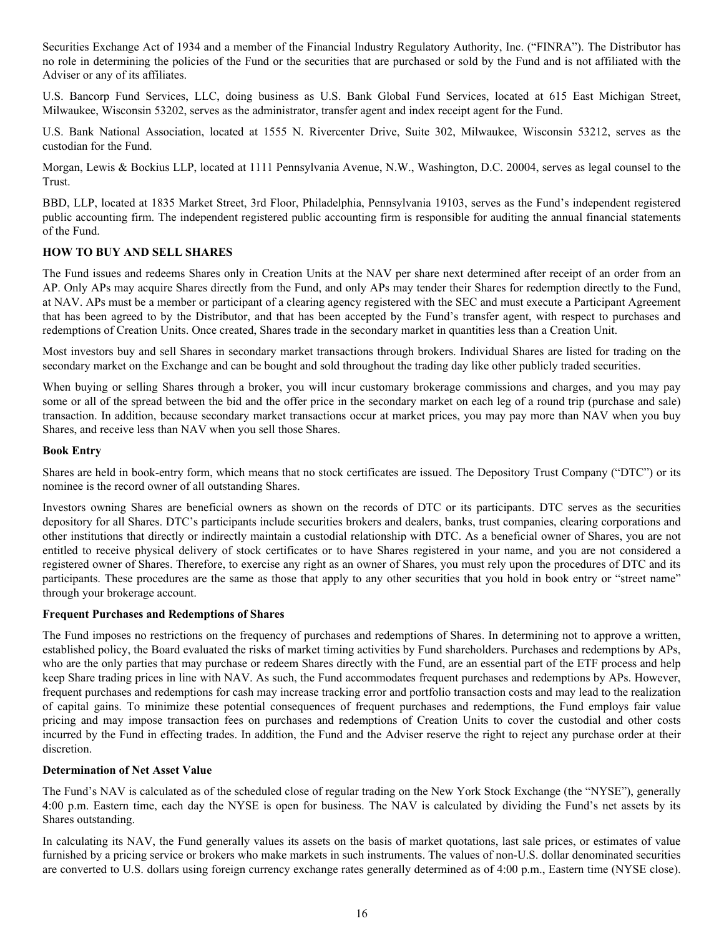Securities Exchange Act of 1934 and a member of the Financial Industry Regulatory Authority, Inc. ("FINRA"). The Distributor has no role in determining the policies of the Fund or the securities that are purchased or sold by the Fund and is not affiliated with the Adviser or any of its affiliates.

U.S. Bancorp Fund Services, LLC, doing business as U.S. Bank Global Fund Services, located at 615 East Michigan Street, Milwaukee, Wisconsin 53202, serves as the administrator, transfer agent and index receipt agent for the Fund.

U.S. Bank National Association, located at 1555 N. Rivercenter Drive, Suite 302, Milwaukee, Wisconsin 53212, serves as the custodian for the Fund.

Morgan, Lewis & Bockius LLP, located at 1111 Pennsylvania Avenue, N.W., Washington, D.C. 20004, serves as legal counsel to the Trust.

BBD, LLP, located at 1835 Market Street, 3rd Floor, Philadelphia, Pennsylvania 19103, serves as the Fund's independent registered public accounting firm. The independent registered public accounting firm is responsible for auditing the annual financial statements of the Fund.

#### **HOW TO BUY AND SELL SHARES**

The Fund issues and redeems Shares only in Creation Units at the NAV per share next determined after receipt of an order from an AP. Only APs may acquire Shares directly from the Fund, and only APs may tender their Shares for redemption directly to the Fund, at NAV. APs must be a member or participant of a clearing agency registered with the SEC and must execute a Participant Agreement that has been agreed to by the Distributor, and that has been accepted by the Fund's transfer agent, with respect to purchases and redemptions of Creation Units. Once created, Shares trade in the secondary market in quantities less than a Creation Unit.

Most investors buy and sell Shares in secondary market transactions through brokers. Individual Shares are listed for trading on the secondary market on the Exchange and can be bought and sold throughout the trading day like other publicly traded securities.

When buying or selling Shares through a broker, you will incur customary brokerage commissions and charges, and you may pay some or all of the spread between the bid and the offer price in the secondary market on each leg of a round trip (purchase and sale) transaction. In addition, because secondary market transactions occur at market prices, you may pay more than NAV when you buy Shares, and receive less than NAV when you sell those Shares.

#### **Book Entry**

Shares are held in book-entry form, which means that no stock certificates are issued. The Depository Trust Company ("DTC") or its nominee is the record owner of all outstanding Shares.

Investors owning Shares are beneficial owners as shown on the records of DTC or its participants. DTC serves as the securities depository for all Shares. DTC's participants include securities brokers and dealers, banks, trust companies, clearing corporations and other institutions that directly or indirectly maintain a custodial relationship with DTC. As a beneficial owner of Shares, you are not entitled to receive physical delivery of stock certificates or to have Shares registered in your name, and you are not considered a registered owner of Shares. Therefore, to exercise any right as an owner of Shares, you must rely upon the procedures of DTC and its participants. These procedures are the same as those that apply to any other securities that you hold in book entry or "street name" through your brokerage account.

#### **Frequent Purchases and Redemptions of Shares**

The Fund imposes no restrictions on the frequency of purchases and redemptions of Shares. In determining not to approve a written, established policy, the Board evaluated the risks of market timing activities by Fund shareholders. Purchases and redemptions by APs, who are the only parties that may purchase or redeem Shares directly with the Fund, are an essential part of the ETF process and help keep Share trading prices in line with NAV. As such, the Fund accommodates frequent purchases and redemptions by APs. However, frequent purchases and redemptions for cash may increase tracking error and portfolio transaction costs and may lead to the realization of capital gains. To minimize these potential consequences of frequent purchases and redemptions, the Fund employs fair value pricing and may impose transaction fees on purchases and redemptions of Creation Units to cover the custodial and other costs incurred by the Fund in effecting trades. In addition, the Fund and the Adviser reserve the right to reject any purchase order at their discretion.

#### **Determination of Net Asset Value**

The Fund's NAV is calculated as of the scheduled close of regular trading on the New York Stock Exchange (the "NYSE"), generally 4:00 p.m. Eastern time, each day the NYSE is open for business. The NAV is calculated by dividing the Fund's net assets by its Shares outstanding.

In calculating its NAV, the Fund generally values its assets on the basis of market quotations, last sale prices, or estimates of value furnished by a pricing service or brokers who make markets in such instruments. The values of non-U.S. dollar denominated securities are converted to U.S. dollars using foreign currency exchange rates generally determined as of 4:00 p.m., Eastern time (NYSE close).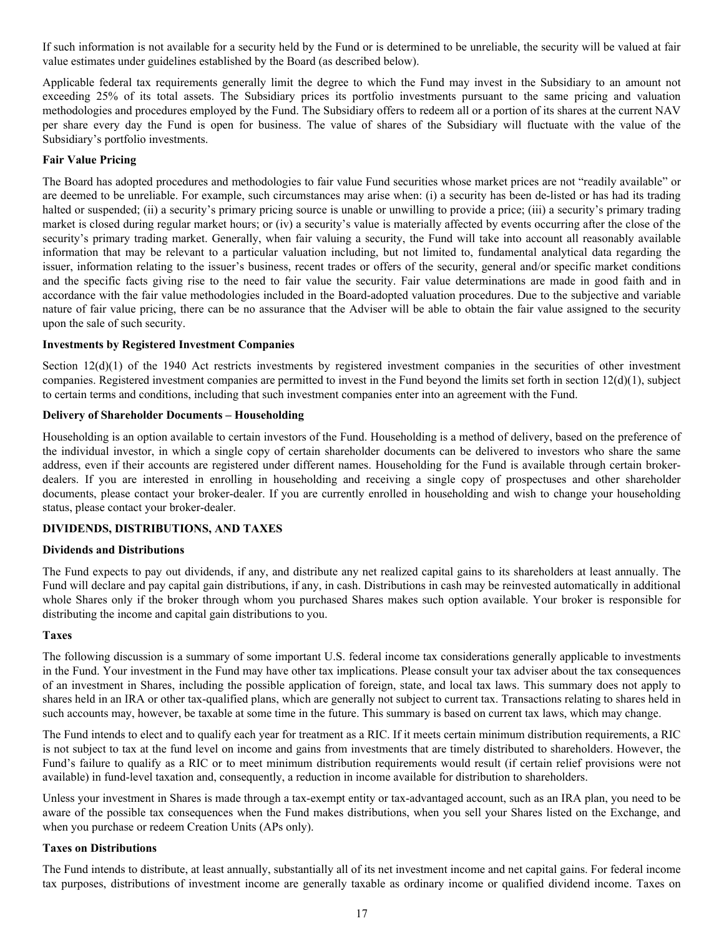If such information is not available for a security held by the Fund or is determined to be unreliable, the security will be valued at fair value estimates under guidelines established by the Board (as described below).

Applicable federal tax requirements generally limit the degree to which the Fund may invest in the Subsidiary to an amount not exceeding 25% of its total assets. The Subsidiary prices its portfolio investments pursuant to the same pricing and valuation methodologies and procedures employed by the Fund. The Subsidiary offers to redeem all or a portion of its shares at the current NAV per share every day the Fund is open for business. The value of shares of the Subsidiary will fluctuate with the value of the Subsidiary's portfolio investments.

## **Fair Value Pricing**

The Board has adopted procedures and methodologies to fair value Fund securities whose market prices are not "readily available" or are deemed to be unreliable. For example, such circumstances may arise when: (i) a security has been de-listed or has had its trading halted or suspended; (ii) a security's primary pricing source is unable or unwilling to provide a price; (iii) a security's primary trading market is closed during regular market hours; or (iv) a security's value is materially affected by events occurring after the close of the security's primary trading market. Generally, when fair valuing a security, the Fund will take into account all reasonably available information that may be relevant to a particular valuation including, but not limited to, fundamental analytical data regarding the issuer, information relating to the issuer's business, recent trades or offers of the security, general and/or specific market conditions and the specific facts giving rise to the need to fair value the security. Fair value determinations are made in good faith and in accordance with the fair value methodologies included in the Board-adopted valuation procedures. Due to the subjective and variable nature of fair value pricing, there can be no assurance that the Adviser will be able to obtain the fair value assigned to the security upon the sale of such security.

#### **Investments by Registered Investment Companies**

Section  $12(d)(1)$  of the 1940 Act restricts investments by registered investment companies in the securities of other investment companies. Registered investment companies are permitted to invest in the Fund beyond the limits set forth in section  $12(d)(1)$ , subject to certain terms and conditions, including that such investment companies enter into an agreement with the Fund.

### **Delivery of Shareholder Documents – Householding**

Householding is an option available to certain investors of the Fund. Householding is a method of delivery, based on the preference of the individual investor, in which a single copy of certain shareholder documents can be delivered to investors who share the same address, even if their accounts are registered under different names. Householding for the Fund is available through certain brokerdealers. If you are interested in enrolling in householding and receiving a single copy of prospectuses and other shareholder documents, please contact your broker-dealer. If you are currently enrolled in householding and wish to change your householding status, please contact your broker-dealer.

## **DIVIDENDS, DISTRIBUTIONS, AND TAXES**

#### **Dividends and Distributions**

The Fund expects to pay out dividends, if any, and distribute any net realized capital gains to its shareholders at least annually. The Fund will declare and pay capital gain distributions, if any, in cash. Distributions in cash may be reinvested automatically in additional whole Shares only if the broker through whom you purchased Shares makes such option available. Your broker is responsible for distributing the income and capital gain distributions to you.

#### **Taxes**

The following discussion is a summary of some important U.S. federal income tax considerations generally applicable to investments in the Fund. Your investment in the Fund may have other tax implications. Please consult your tax adviser about the tax consequences of an investment in Shares, including the possible application of foreign, state, and local tax laws. This summary does not apply to shares held in an IRA or other tax-qualified plans, which are generally not subject to current tax. Transactions relating to shares held in such accounts may, however, be taxable at some time in the future. This summary is based on current tax laws, which may change.

The Fund intends to elect and to qualify each year for treatment as a RIC. If it meets certain minimum distribution requirements, a RIC is not subject to tax at the fund level on income and gains from investments that are timely distributed to shareholders. However, the Fund's failure to qualify as a RIC or to meet minimum distribution requirements would result (if certain relief provisions were not available) in fund-level taxation and, consequently, a reduction in income available for distribution to shareholders.

Unless your investment in Shares is made through a tax-exempt entity or tax-advantaged account, such as an IRA plan, you need to be aware of the possible tax consequences when the Fund makes distributions, when you sell your Shares listed on the Exchange, and when you purchase or redeem Creation Units (APs only).

## **Taxes on Distributions**

The Fund intends to distribute, at least annually, substantially all of its net investment income and net capital gains. For federal income tax purposes, distributions of investment income are generally taxable as ordinary income or qualified dividend income. Taxes on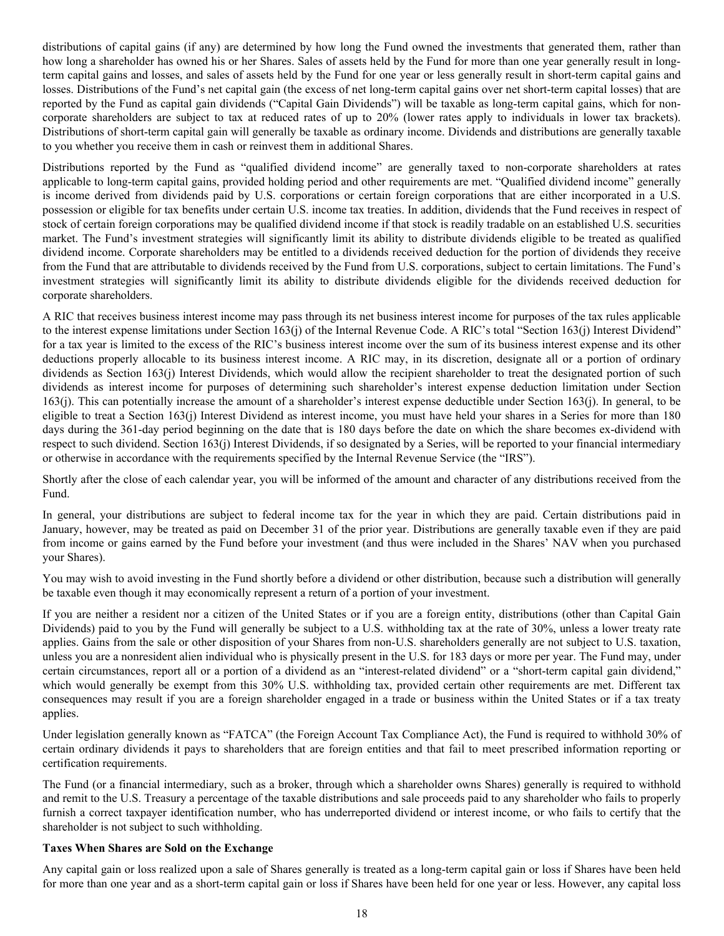distributions of capital gains (if any) are determined by how long the Fund owned the investments that generated them, rather than how long a shareholder has owned his or her Shares. Sales of assets held by the Fund for more than one year generally result in longterm capital gains and losses, and sales of assets held by the Fund for one year or less generally result in short-term capital gains and losses. Distributions of the Fund's net capital gain (the excess of net long-term capital gains over net short-term capital losses) that are reported by the Fund as capital gain dividends ("Capital Gain Dividends") will be taxable as long-term capital gains, which for noncorporate shareholders are subject to tax at reduced rates of up to 20% (lower rates apply to individuals in lower tax brackets). Distributions of short-term capital gain will generally be taxable as ordinary income. Dividends and distributions are generally taxable to you whether you receive them in cash or reinvest them in additional Shares.

Distributions reported by the Fund as "qualified dividend income" are generally taxed to non-corporate shareholders at rates applicable to long-term capital gains, provided holding period and other requirements are met. "Qualified dividend income" generally is income derived from dividends paid by U.S. corporations or certain foreign corporations that are either incorporated in a U.S. possession or eligible for tax benefits under certain U.S. income tax treaties. In addition, dividends that the Fund receives in respect of stock of certain foreign corporations may be qualified dividend income if that stock is readily tradable on an established U.S. securities market. The Fund's investment strategies will significantly limit its ability to distribute dividends eligible to be treated as qualified dividend income. Corporate shareholders may be entitled to a dividends received deduction for the portion of dividends they receive from the Fund that are attributable to dividends received by the Fund from U.S. corporations, subject to certain limitations. The Fund's investment strategies will significantly limit its ability to distribute dividends eligible for the dividends received deduction for corporate shareholders.

A RIC that receives business interest income may pass through its net business interest income for purposes of the tax rules applicable to the interest expense limitations under Section 163(j) of the Internal Revenue Code. A RIC's total "Section 163(j) Interest Dividend" for a tax year is limited to the excess of the RIC's business interest income over the sum of its business interest expense and its other deductions properly allocable to its business interest income. A RIC may, in its discretion, designate all or a portion of ordinary dividends as Section 163(j) Interest Dividends, which would allow the recipient shareholder to treat the designated portion of such dividends as interest income for purposes of determining such shareholder's interest expense deduction limitation under Section 163(j). This can potentially increase the amount of a shareholder's interest expense deductible under Section 163(j). In general, to be eligible to treat a Section 163(j) Interest Dividend as interest income, you must have held your shares in a Series for more than 180 days during the 361-day period beginning on the date that is 180 days before the date on which the share becomes ex-dividend with respect to such dividend. Section 163(j) Interest Dividends, if so designated by a Series, will be reported to your financial intermediary or otherwise in accordance with the requirements specified by the Internal Revenue Service (the "IRS").

Shortly after the close of each calendar year, you will be informed of the amount and character of any distributions received from the Fund.

In general, your distributions are subject to federal income tax for the year in which they are paid. Certain distributions paid in January, however, may be treated as paid on December 31 of the prior year. Distributions are generally taxable even if they are paid from income or gains earned by the Fund before your investment (and thus were included in the Shares' NAV when you purchased your Shares).

You may wish to avoid investing in the Fund shortly before a dividend or other distribution, because such a distribution will generally be taxable even though it may economically represent a return of a portion of your investment.

If you are neither a resident nor a citizen of the United States or if you are a foreign entity, distributions (other than Capital Gain Dividends) paid to you by the Fund will generally be subject to a U.S. withholding tax at the rate of 30%, unless a lower treaty rate applies. Gains from the sale or other disposition of your Shares from non-U.S. shareholders generally are not subject to U.S. taxation, unless you are a nonresident alien individual who is physically present in the U.S. for 183 days or more per year. The Fund may, under certain circumstances, report all or a portion of a dividend as an "interest-related dividend" or a "short-term capital gain dividend," which would generally be exempt from this 30% U.S. withholding tax, provided certain other requirements are met. Different tax consequences may result if you are a foreign shareholder engaged in a trade or business within the United States or if a tax treaty applies.

Under legislation generally known as "FATCA" (the Foreign Account Tax Compliance Act), the Fund is required to withhold 30% of certain ordinary dividends it pays to shareholders that are foreign entities and that fail to meet prescribed information reporting or certification requirements.

The Fund (or a financial intermediary, such as a broker, through which a shareholder owns Shares) generally is required to withhold and remit to the U.S. Treasury a percentage of the taxable distributions and sale proceeds paid to any shareholder who fails to properly furnish a correct taxpayer identification number, who has underreported dividend or interest income, or who fails to certify that the shareholder is not subject to such withholding.

## **Taxes When Shares are Sold on the Exchange**

Any capital gain or loss realized upon a sale of Shares generally is treated as a long-term capital gain or loss if Shares have been held for more than one year and as a short-term capital gain or loss if Shares have been held for one year or less. However, any capital loss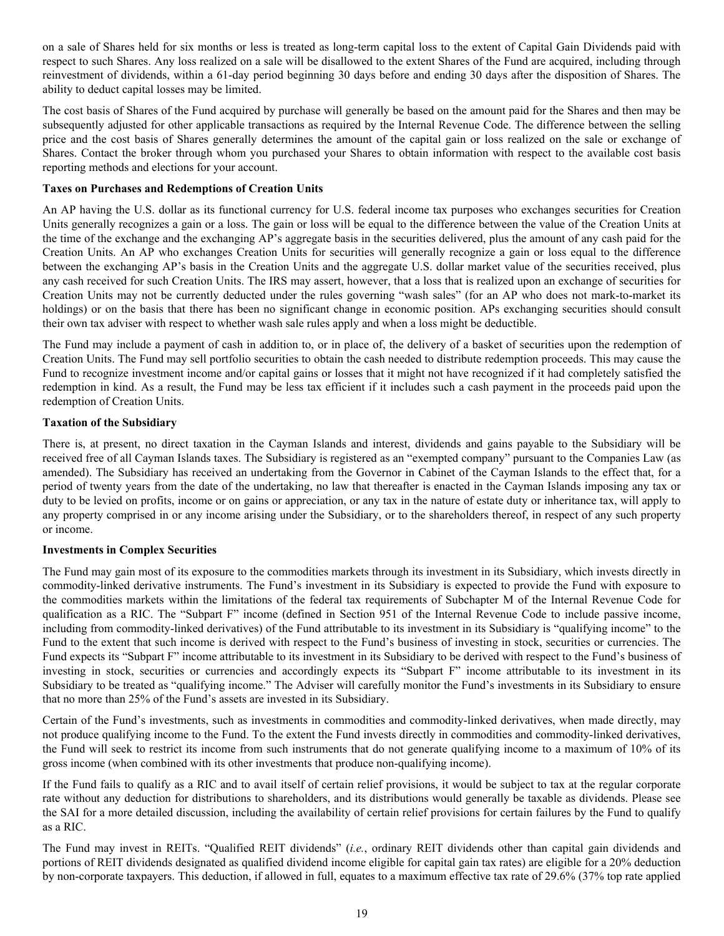on a sale of Shares held for six months or less is treated as long-term capital loss to the extent of Capital Gain Dividends paid with respect to such Shares. Any loss realized on a sale will be disallowed to the extent Shares of the Fund are acquired, including through reinvestment of dividends, within a 61-day period beginning 30 days before and ending 30 days after the disposition of Shares. The ability to deduct capital losses may be limited.

The cost basis of Shares of the Fund acquired by purchase will generally be based on the amount paid for the Shares and then may be subsequently adjusted for other applicable transactions as required by the Internal Revenue Code. The difference between the selling price and the cost basis of Shares generally determines the amount of the capital gain or loss realized on the sale or exchange of Shares. Contact the broker through whom you purchased your Shares to obtain information with respect to the available cost basis reporting methods and elections for your account.

## **Taxes on Purchases and Redemptions of Creation Units**

An AP having the U.S. dollar as its functional currency for U.S. federal income tax purposes who exchanges securities for Creation Units generally recognizes a gain or a loss. The gain or loss will be equal to the difference between the value of the Creation Units at the time of the exchange and the exchanging AP's aggregate basis in the securities delivered, plus the amount of any cash paid for the Creation Units. An AP who exchanges Creation Units for securities will generally recognize a gain or loss equal to the difference between the exchanging AP's basis in the Creation Units and the aggregate U.S. dollar market value of the securities received, plus any cash received for such Creation Units. The IRS may assert, however, that a loss that is realized upon an exchange of securities for Creation Units may not be currently deducted under the rules governing "wash sales" (for an AP who does not mark-to-market its holdings) or on the basis that there has been no significant change in economic position. APs exchanging securities should consult their own tax adviser with respect to whether wash sale rules apply and when a loss might be deductible.

The Fund may include a payment of cash in addition to, or in place of, the delivery of a basket of securities upon the redemption of Creation Units. The Fund may sell portfolio securities to obtain the cash needed to distribute redemption proceeds. This may cause the Fund to recognize investment income and/or capital gains or losses that it might not have recognized if it had completely satisfied the redemption in kind. As a result, the Fund may be less tax efficient if it includes such a cash payment in the proceeds paid upon the redemption of Creation Units.

#### **Taxation of the Subsidiary**

There is, at present, no direct taxation in the Cayman Islands and interest, dividends and gains payable to the Subsidiary will be received free of all Cayman Islands taxes. The Subsidiary is registered as an "exempted company" pursuant to the Companies Law (as amended). The Subsidiary has received an undertaking from the Governor in Cabinet of the Cayman Islands to the effect that, for a period of twenty years from the date of the undertaking, no law that thereafter is enacted in the Cayman Islands imposing any tax or duty to be levied on profits, income or on gains or appreciation, or any tax in the nature of estate duty or inheritance tax, will apply to any property comprised in or any income arising under the Subsidiary, or to the shareholders thereof, in respect of any such property or income.

## **Investments in Complex Securities**

The Fund may gain most of its exposure to the commodities markets through its investment in its Subsidiary, which invests directly in commodity-linked derivative instruments. The Fund's investment in its Subsidiary is expected to provide the Fund with exposure to the commodities markets within the limitations of the federal tax requirements of Subchapter M of the Internal Revenue Code for qualification as a RIC. The "Subpart F" income (defined in Section 951 of the Internal Revenue Code to include passive income, including from commodity-linked derivatives) of the Fund attributable to its investment in its Subsidiary is "qualifying income" to the Fund to the extent that such income is derived with respect to the Fund's business of investing in stock, securities or currencies. The Fund expects its "Subpart F" income attributable to its investment in its Subsidiary to be derived with respect to the Fund's business of investing in stock, securities or currencies and accordingly expects its "Subpart F" income attributable to its investment in its Subsidiary to be treated as "qualifying income." The Adviser will carefully monitor the Fund's investments in its Subsidiary to ensure that no more than 25% of the Fund's assets are invested in its Subsidiary.

Certain of the Fund's investments, such as investments in commodities and commodity-linked derivatives, when made directly, may not produce qualifying income to the Fund. To the extent the Fund invests directly in commodities and commodity-linked derivatives, the Fund will seek to restrict its income from such instruments that do not generate qualifying income to a maximum of 10% of its gross income (when combined with its other investments that produce non-qualifying income).

If the Fund fails to qualify as a RIC and to avail itself of certain relief provisions, it would be subject to tax at the regular corporate rate without any deduction for distributions to shareholders, and its distributions would generally be taxable as dividends. Please see the SAI for a more detailed discussion, including the availability of certain relief provisions for certain failures by the Fund to qualify as a RIC.

The Fund may invest in REITs. "Qualified REIT dividends" (*i.e.*, ordinary REIT dividends other than capital gain dividends and portions of REIT dividends designated as qualified dividend income eligible for capital gain tax rates) are eligible for a 20% deduction by non-corporate taxpayers. This deduction, if allowed in full, equates to a maximum effective tax rate of 29.6% (37% top rate applied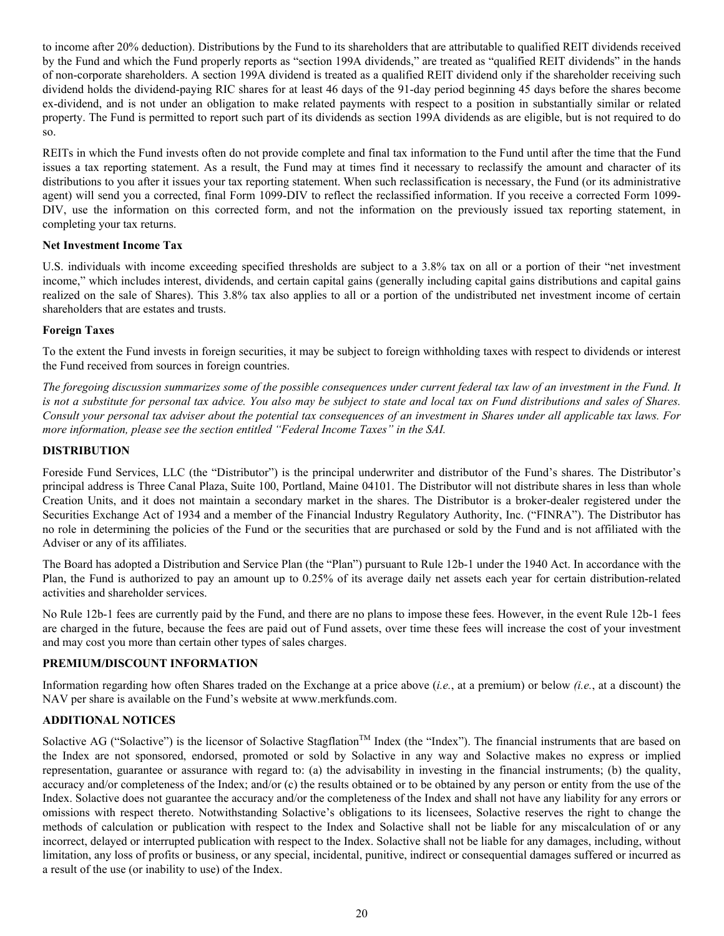to income after 20% deduction). Distributions by the Fund to its shareholders that are attributable to qualified REIT dividends received by the Fund and which the Fund properly reports as "section 199A dividends," are treated as "qualified REIT dividends" in the hands of non-corporate shareholders. A section 199A dividend is treated as a qualified REIT dividend only if the shareholder receiving such dividend holds the dividend-paying RIC shares for at least 46 days of the 91-day period beginning 45 days before the shares become ex-dividend, and is not under an obligation to make related payments with respect to a position in substantially similar or related property. The Fund is permitted to report such part of its dividends as section 199A dividends as are eligible, but is not required to do so.

REITs in which the Fund invests often do not provide complete and final tax information to the Fund until after the time that the Fund issues a tax reporting statement. As a result, the Fund may at times find it necessary to reclassify the amount and character of its distributions to you after it issues your tax reporting statement. When such reclassification is necessary, the Fund (or its administrative agent) will send you a corrected, final Form 1099-DIV to reflect the reclassified information. If you receive a corrected Form 1099- DIV, use the information on this corrected form, and not the information on the previously issued tax reporting statement, in completing your tax returns.

## **Net Investment Income Tax**

U.S. individuals with income exceeding specified thresholds are subject to a 3.8% tax on all or a portion of their "net investment income," which includes interest, dividends, and certain capital gains (generally including capital gains distributions and capital gains realized on the sale of Shares). This 3.8% tax also applies to all or a portion of the undistributed net investment income of certain shareholders that are estates and trusts.

## **Foreign Taxes**

To the extent the Fund invests in foreign securities, it may be subject to foreign withholding taxes with respect to dividends or interest the Fund received from sources in foreign countries.

*The foregoing discussion summarizes some of the possible consequences under current federal tax law of an investment in the Fund. It is not a substitute for personal tax advice. You also may be subject to state and local tax on Fund distributions and sales of Shares. Consult your personal tax adviser about the potential tax consequences of an investment in Shares under all applicable tax laws. For more information, please see the section entitled "Federal Income Taxes" in the SAI.*

## **DISTRIBUTION**

Foreside Fund Services, LLC (the "Distributor") is the principal underwriter and distributor of the Fund's shares. The Distributor's principal address is Three Canal Plaza, Suite 100, Portland, Maine 04101. The Distributor will not distribute shares in less than whole Creation Units, and it does not maintain a secondary market in the shares. The Distributor is a broker-dealer registered under the Securities Exchange Act of 1934 and a member of the Financial Industry Regulatory Authority, Inc. ("FINRA"). The Distributor has no role in determining the policies of the Fund or the securities that are purchased or sold by the Fund and is not affiliated with the Adviser or any of its affiliates.

The Board has adopted a Distribution and Service Plan (the "Plan") pursuant to Rule 12b-1 under the 1940 Act. In accordance with the Plan, the Fund is authorized to pay an amount up to 0.25% of its average daily net assets each year for certain distribution-related activities and shareholder services.

No Rule 12b-1 fees are currently paid by the Fund, and there are no plans to impose these fees. However, in the event Rule 12b-1 fees are charged in the future, because the fees are paid out of Fund assets, over time these fees will increase the cost of your investment and may cost you more than certain other types of sales charges.

## **PREMIUM/DISCOUNT INFORMATION**

Information regarding how often Shares traded on the Exchange at a price above (*i.e.*, at a premium) or below *(i.e.*, at a discount) the NAV per share is available on the Fund's website at www.merkfunds.com.

## **ADDITIONAL NOTICES**

Solactive AG ("Solactive") is the licensor of Solactive Stagflation™ Index (the "Index"). The financial instruments that are based on the Index are not sponsored, endorsed, promoted or sold by Solactive in any way and Solactive makes no express or implied representation, guarantee or assurance with regard to: (a) the advisability in investing in the financial instruments; (b) the quality, accuracy and/or completeness of the Index; and/or (c) the results obtained or to be obtained by any person or entity from the use of the Index. Solactive does not guarantee the accuracy and/or the completeness of the Index and shall not have any liability for any errors or omissions with respect thereto. Notwithstanding Solactive's obligations to its licensees, Solactive reserves the right to change the methods of calculation or publication with respect to the Index and Solactive shall not be liable for any miscalculation of or any incorrect, delayed or interrupted publication with respect to the Index. Solactive shall not be liable for any damages, including, without limitation, any loss of profits or business, or any special, incidental, punitive, indirect or consequential damages suffered or incurred as a result of the use (or inability to use) of the Index.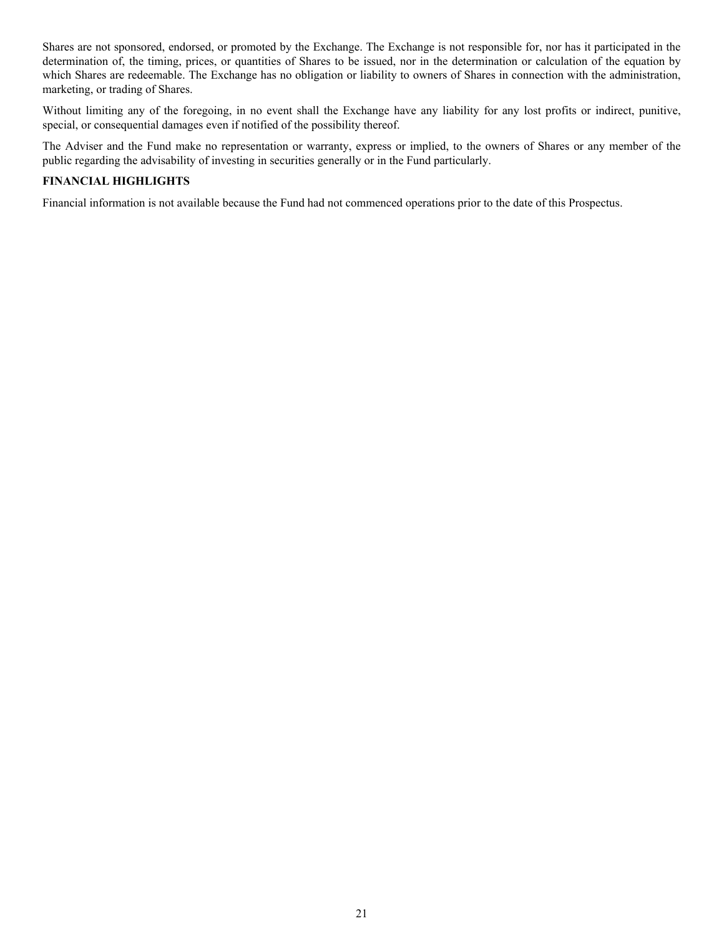Shares are not sponsored, endorsed, or promoted by the Exchange. The Exchange is not responsible for, nor has it participated in the determination of, the timing, prices, or quantities of Shares to be issued, nor in the determination or calculation of the equation by which Shares are redeemable. The Exchange has no obligation or liability to owners of Shares in connection with the administration, marketing, or trading of Shares.

Without limiting any of the foregoing, in no event shall the Exchange have any liability for any lost profits or indirect, punitive, special, or consequential damages even if notified of the possibility thereof.

The Adviser and the Fund make no representation or warranty, express or implied, to the owners of Shares or any member of the public regarding the advisability of investing in securities generally or in the Fund particularly.

## **FINANCIAL HIGHLIGHTS**

Financial information is not available because the Fund had not commenced operations prior to the date of this Prospectus.